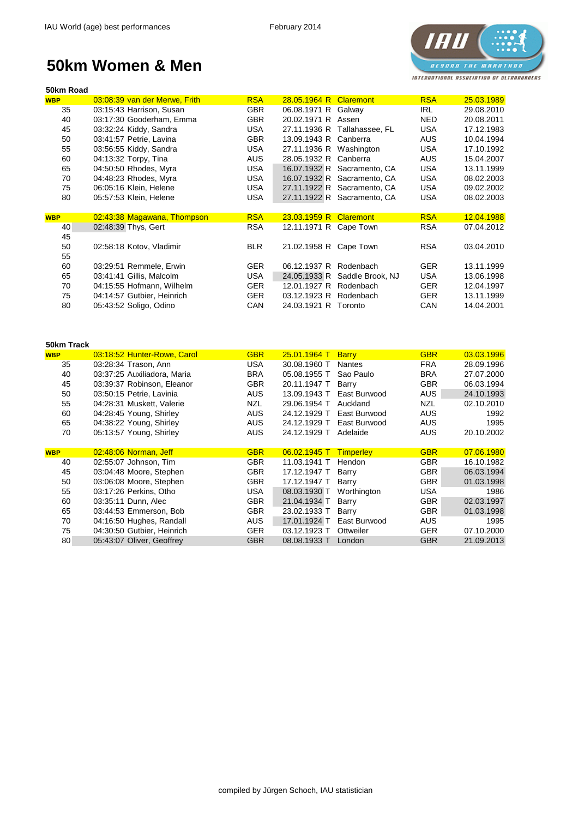# **IAU** *BESONO THE MARATHON* INTERNATIONAL ASSOCIATION OF ULTRARUNDERS

## **50km Women & Men**

| 50km Road  |                               |            |                         |                               |            |            |
|------------|-------------------------------|------------|-------------------------|-------------------------------|------------|------------|
| <b>WBP</b> | 03:08:39 van der Merwe, Frith | <b>RSA</b> | 28.05.1964 R Claremont  |                               | <b>RSA</b> | 25.03.1989 |
| 35         | 03:15:43 Harrison, Susan      | <b>GBR</b> | 06.08.1971 R Galway     |                               | IRL        | 29.08.2010 |
| 40         | 03:17:30 Gooderham, Emma      | <b>GBR</b> | 20.02.1971 R Assen      |                               | NED.       | 20.08.2011 |
| 45         | 03:32:24 Kiddy, Sandra        | <b>USA</b> |                         | 27.11.1936 R Tallahassee, FL  | <b>USA</b> | 17.12.1983 |
| 50         | 03:41:57 Petrie, Lavina       | <b>GBR</b> | 13.09.1943 R Canberra   |                               | <b>AUS</b> | 10.04.1994 |
| 55         | 03:56:55 Kiddy, Sandra        | <b>USA</b> | 27.11.1936 R Washington |                               | <b>USA</b> | 17.10.1992 |
| 60         | 04:13:32 Torpy, Tina          | <b>AUS</b> | 28.05.1932 R Canberra   |                               | <b>AUS</b> | 15.04.2007 |
| 65         | 04:50:50 Rhodes, Myra         | <b>USA</b> |                         | 16.07.1932 R Sacramento, CA   | <b>USA</b> | 13.11.1999 |
| 70         | 04:48:23 Rhodes, Myra         | <b>USA</b> |                         | 16.07.1932 R Sacramento, CA   | <b>USA</b> | 08.02.2003 |
| 75         | 06:05:16 Klein, Helene        | <b>USA</b> |                         | 27.11.1922 R Sacramento, CA   | <b>USA</b> | 09.02.2002 |
| 80         | 05:57:53 Klein, Helene        | <b>USA</b> |                         | 27.11.1922 R Sacramento, CA   | <b>USA</b> | 08.02.2003 |
|            |                               |            |                         |                               |            |            |
| <b>WBP</b> | 02:43:38 Magawana, Thompson   | <b>RSA</b> | 23.03.1959 R Claremont  |                               | <b>RSA</b> | 12.04.1988 |
| 40         | 02:48:39 Thys, Gert           | <b>RSA</b> | 12.11.1971 R Cape Town  |                               | <b>RSA</b> | 07.04.2012 |
| 45         |                               |            |                         |                               |            |            |
| 50         | 02:58:18 Kotov, Vladimir      | <b>BLR</b> | 21.02.1958 R Cape Town  |                               | <b>RSA</b> | 03.04.2010 |
| 55         |                               |            |                         |                               |            |            |
| 60         | 03:29:51 Remmele, Erwin       | <b>GER</b> | 06.12.1937 R            | Rodenbach                     | <b>GER</b> | 13.11.1999 |
| 65         | 03:41:41 Gillis, Malcolm      | <b>USA</b> |                         | 24.05.1933 R Saddle Brook, NJ | <b>USA</b> | 13.06.1998 |
| 70         | 04:15:55 Hofmann, Wilhelm     | <b>GER</b> | 12.01.1927 R            | Rodenbach                     | <b>GER</b> | 12.04.1997 |
| 75         | 04:14:57 Gutbier, Heinrich    | <b>GER</b> | 03.12.1923 R            | Rodenbach                     | <b>GER</b> | 13.11.1999 |
| 80         | 05:43:52 Soligo, Odino        | <b>CAN</b> | 24.03.1921 R Toronto    |                               | CAN        | 14.04.2001 |
|            |                               |            |                         |                               |            |            |

| 50km Track |                             |            |                |                  |            |            |
|------------|-----------------------------|------------|----------------|------------------|------------|------------|
| <b>WBP</b> | 03:18:52 Hunter-Rowe, Carol | <b>GBR</b> | 25.01.1964 T   | <b>Barry</b>     | <b>GBR</b> | 03.03.1996 |
| 35         | 03:28:34 Trason, Ann        | <b>USA</b> | 30.08.1960 T   | <b>Nantes</b>    | <b>FRA</b> | 28.09.1996 |
| 40         | 03:37:25 Auxiliadora, Maria | <b>BRA</b> | 05.08.1955 T   | Sao Paulo        | <b>BRA</b> | 27.07.2000 |
| 45         | 03:39:37 Robinson, Eleanor  | <b>GBR</b> | 20.11.1947 T   | Barry            | <b>GBR</b> | 06.03.1994 |
| 50         | 03:50:15 Petrie, Lavinia    | <b>AUS</b> | 13.09.1943 T   | East Burwood     | <b>AUS</b> | 24.10.1993 |
| 55         | 04:28:31 Muskett, Valerie   | <b>NZL</b> | 29.06.1954 T   | Auckland         | <b>NZL</b> | 02.10.2010 |
| 60         | 04:28:45 Young, Shirley     | <b>AUS</b> | 24.12.1929 T   | East Burwood     | <b>AUS</b> | 1992       |
| 65         | 04:38:22 Young, Shirley     | <b>AUS</b> | 24.12.1929 T   | East Burwood     | <b>AUS</b> | 1995       |
| 70         | 05:13:57 Young, Shirley     | <b>AUS</b> | 24.12.1929 T   | Adelaide         | <b>AUS</b> | 20.10.2002 |
|            |                             |            |                |                  |            |            |
| <b>WBP</b> | 02:48:06 Norman, Jeff       | <b>GBR</b> | $06.02.1945$ T | <b>Timperley</b> | <b>GBR</b> | 07.06.1980 |
| 40         | 02:55:07 Johnson, Tim       | <b>GBR</b> | 11.03.1941 T   | Hendon           | <b>GBR</b> | 16.10.1982 |
| 45         | 03:04:48 Moore, Stephen     | <b>GBR</b> | 17.12.1947 T   | Barry            | <b>GBR</b> | 06.03.1994 |
| 50         | 03:06:08 Moore, Stephen     | <b>GBR</b> | 17.12.1947 T   | Barry            | <b>GBR</b> | 01.03.1998 |
| 55         | 03:17:26 Perkins, Otho      | <b>USA</b> | 08.03.1930 T   | Worthington      | <b>USA</b> | 1986       |
| 60         | 03:35:11 Dunn, Alec         | <b>GBR</b> | 21.04.1934 T   | Barry            | <b>GBR</b> | 02.03.1997 |
| 65         | 03:44:53 Emmerson, Bob      | <b>GBR</b> | 23.02.1933 T   | Barry            | <b>GBR</b> | 01.03.1998 |
| 70         | 04:16:50 Hughes, Randall    | <b>AUS</b> | 17.01.1924 T   | East Burwood     | <b>AUS</b> | 1995       |
|            |                             |            |                |                  |            |            |
| 75         | 04:30:50 Gutbier, Heinrich  | <b>GER</b> | 03.12.1923 T   | Ottweiler        | <b>GER</b> | 07.10.2000 |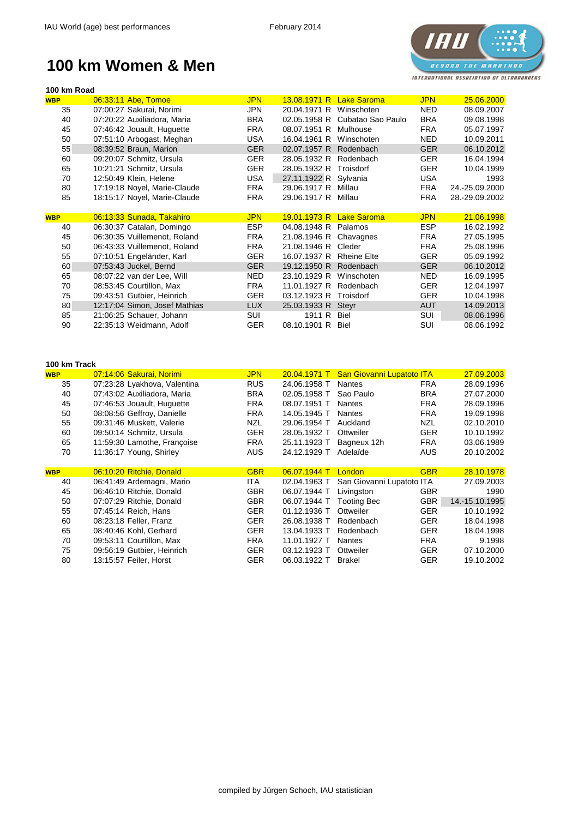

#### **100 km Women & Men**

| 100 km Road |                               |            |                       |                    |            |                |
|-------------|-------------------------------|------------|-----------------------|--------------------|------------|----------------|
| <b>WBP</b>  | 06:33:11 Abe, Tomoe           | <b>JPN</b> | 13.08.1971 R          | <b>Lake Saroma</b> | <b>JPN</b> | 25.06.2000     |
| 35          | 07:00:27 Sakurai, Norimi      | JPN        | 20.04.1971 R          | Winschoten         | <b>NED</b> | 08.09.2007     |
| 40          | 07:20:22 Auxiliadora, Maria   | <b>BRA</b> | 02.05.1958 R          | Cubatao Sao Paulo  | <b>BRA</b> | 09.08.1998     |
| 45          | 07:46:42 Jouault, Huguette    | <b>FRA</b> | 08.07.1951 R          | Mulhouse           | <b>FRA</b> | 05.07.1997     |
| 50          | 07:51:10 Arbogast, Meghan     | <b>USA</b> | 16.04.1961 R          | Winschoten         | <b>NED</b> | 10.09.2011     |
| 55          | 08:39:52 Braun, Marion        | <b>GER</b> | 02.07.1957 R          | Rodenbach          | <b>GER</b> | 06.10.2012     |
| 60          | 09:20:07 Schmitz, Ursula      | <b>GER</b> | 28.05.1932 R          | Rodenbach          | <b>GER</b> | 16.04.1994     |
| 65          | 10:21:21 Schmitz, Ursula      | <b>GER</b> | 28.05.1932 R          | Troisdorf          | <b>GER</b> | 10.04.1999     |
| 70          | 12:50:49 Klein, Helene        | <b>USA</b> | 27.11.1922 R Sylvania |                    | <b>USA</b> | 1993           |
| 80          | 17:19:18 Noyel, Marie-Claude  | <b>FRA</b> | 29.06.1917 R          | Millau             | <b>FRA</b> | 24.-25.09.2000 |
| 85          | 18:15:17 Noyel, Marie-Claude  | <b>FRA</b> | 29.06.1917 R          | Millau             | <b>FRA</b> | 28.-29.09.2002 |
|             |                               |            |                       |                    |            |                |
| <b>WBP</b>  | 06:13:33 Sunada, Takahiro     | <b>JPN</b> | 19.01.1973 R          | <b>Lake Saroma</b> | <b>JPN</b> | 21.06.1998     |
| 40          | 06:30:37 Catalan, Domingo     | <b>ESP</b> | 04.08.1948 R          | Palamos            | <b>ESP</b> | 16.02.1992     |
| 45          | 06:30:35 Vuillemenot, Roland  | <b>FRA</b> | 21.08.1946 R          | Chavagnes          | <b>FRA</b> | 27.05.1995     |
| 50          | 06:43:33 Vuillemenot, Roland  | <b>FRA</b> | 21.08.1946 R          | Cleder             | <b>FRA</b> | 25.08.1996     |
| 55          | 07:10:51 Engeländer, Karl     | <b>GER</b> | 16.07.1937 R          | <b>Rheine Elte</b> | <b>GER</b> | 05.09.1992     |
| 60          | 07:53:43 Juckel, Bernd        | <b>GER</b> | 19.12.1950 R          | Rodenbach          | <b>GER</b> | 06.10.2012     |
| 65          | 08:07:22 van der Lee, Will    | <b>NED</b> | 23.10.1929 R          | Winschoten         | <b>NED</b> | 16.09.1995     |
| 70          | 08:53:45 Courtillon, Max      | <b>FRA</b> | 11.01.1927 R          | Rodenbach          | <b>GER</b> | 12.04.1997     |
| 75          | 09:43:51 Gutbier, Heinrich    | <b>GER</b> | 03.12.1923 R          | Troisdorf          | <b>GER</b> | 10.04.1998     |
| 80          | 12:17:04 Simon, Josef Mathias | <b>LUX</b> | 25.03.1933 R          | Steyr              | <b>AUT</b> | 14.09.2013     |
| 85          | 21:06:25 Schauer, Johann      | <b>SUI</b> | 1911 R                | <b>Biel</b>        | <b>SUI</b> | 08.06.1996     |
| 90          | 22:35:13 Weidmann, Adolf      | <b>GER</b> | 08.10.1901 R          | <b>Biel</b>        | <b>SUI</b> | 08.06.1992     |

| 100 km Track |                              |            |              |                           |            |                |
|--------------|------------------------------|------------|--------------|---------------------------|------------|----------------|
| <b>WBP</b>   | 07:14:06 Sakurai, Norimi     | <b>JPN</b> | 20.04.1971 T | San Giovanni Lupatoto ITA |            | 27.09.2003     |
| 35           | 07:23:28 Lyakhova, Valentina | <b>RUS</b> | 24.06.1958 T | <b>Nantes</b>             | <b>FRA</b> | 28.09.1996     |
| 40           | 07:43:02 Auxiliadora, Maria  | <b>BRA</b> | 02.05.1958 T | Sao Paulo                 | <b>BRA</b> | 27.07.2000     |
| 45           | 07:46:53 Jouault, Huguette   | <b>FRA</b> | 08.07.1951 T | <b>Nantes</b>             | <b>FRA</b> | 28.09.1996     |
| 50           | 08:08:56 Geffroy, Danielle   | <b>FRA</b> | 14.05.1945 T | <b>Nantes</b>             | <b>FRA</b> | 19.09.1998     |
| 55           | 09:31:46 Muskett, Valerie    | <b>NZL</b> | 29.06.1954 T | Auckland                  | <b>NZL</b> | 02.10.2010     |
| 60           | 09:50:14 Schmitz, Ursula     | <b>GER</b> | 28.05.1932 T | Ottweiler                 | <b>GER</b> | 10.10.1992     |
| 65           | 11:59:30 Lamothe, Françoise  | <b>FRA</b> | 25.11.1923 T | Bagneux 12h               | <b>FRA</b> | 03.06.1989     |
| 70           | 11:36:17 Young, Shirley      | <b>AUS</b> | 24.12.1929 T | Adelaïde                  | AUS        | 20.10.2002     |
|              |                              |            |              |                           |            |                |
| <b>WBP</b>   | 06:10:20 Ritchie, Donald     | <b>GBR</b> | 06.07.1944 T | London                    | <b>GBR</b> | 28.10.1978     |
| 40           | 06:41:49 Ardemagni, Mario    | ITA.       | 02.04.1963 T | San Giovanni Lupatoto ITA |            | 27.09.2003     |
| 45           | 06:46:10 Ritchie, Donald     | <b>GBR</b> | 06.07.1944 T | Livingston                | <b>GBR</b> | 1990           |
| 50           | 07:07:29 Ritchie, Donald     | <b>GBR</b> | 06.07.1944 T | Tooting Bec               | <b>GBR</b> | 14.-15.10.1995 |
| 55           | 07:45:14 Reich, Hans         | <b>GER</b> | 01.12.1936 T | Ottweiler                 | <b>GER</b> | 10.10.1992     |
| 60           | 08:23:18 Feller, Franz       | <b>GER</b> | 26.08.1938 T | Rodenbach                 | <b>GER</b> | 18.04.1998     |
| 65           | 08:40:46 Kohl, Gerhard       | <b>GER</b> | 13.04.1933 T | Rodenbach                 | <b>GER</b> | 18.04.1998     |
| 70           | 09:53:11 Courtillon, Max     | <b>FRA</b> | 11.01.1927 T | <b>Nantes</b>             | <b>FRA</b> | 9.1998         |
| 75           | 09:56:19 Gutbier, Heinrich   | <b>GER</b> | 03.12.1923 T | Ottweiler                 | <b>GER</b> | 07.10.2000     |
| 80           | 13:15:57 Feiler, Horst       | <b>GER</b> | 06.03.1922 T | <b>Brakel</b>             | <b>GER</b> | 19.10.2002     |
|              |                              |            |              |                           |            |                |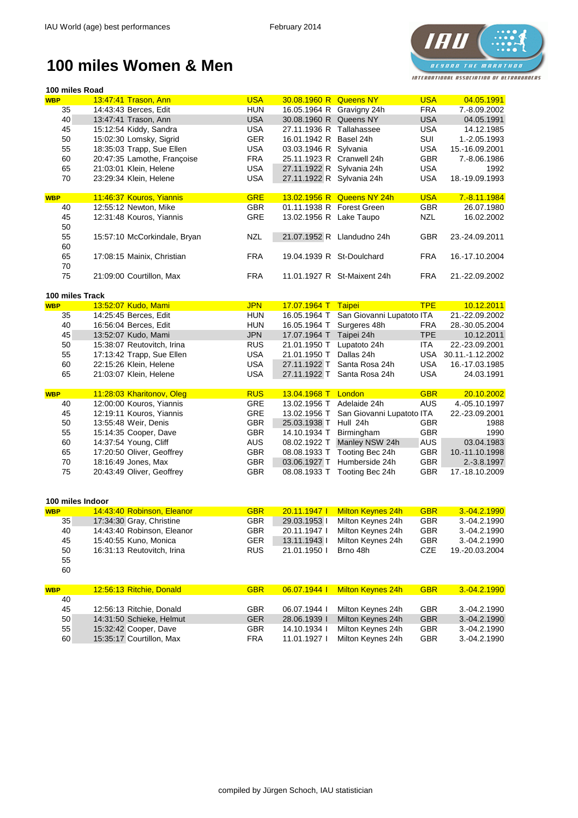#### **IH** *BESONO THE MARATHON* INTERNATIONAL ASSOCIATION OF ULTRARUNDERS

#### **100 miles Women & Men**

| 100 miles Road   |                              |            |                           |                             |            |                  |
|------------------|------------------------------|------------|---------------------------|-----------------------------|------------|------------------|
| <b>WBP</b>       | 13:47:41 Trason, Ann         | <b>USA</b> | 30.08.1960 R Queens NY    |                             | <b>USA</b> | 04.05.1991       |
| 35               | 14:43:43 Berces, Edit        | <b>HUN</b> | 16.05.1964 R Gravigny 24h |                             | <b>FRA</b> | 7.-8.09.2002     |
| 40               | 13:47:41 Trason, Ann         | <b>USA</b> | 30.08.1960 R Queens NY    |                             | <b>USA</b> | 04.05.1991       |
| 45               | 15:12:54 Kiddy, Sandra       | <b>USA</b> | 27.11.1936 R Tallahassee  |                             | <b>USA</b> | 14.12.1985       |
| 50               | 15:02:30 Lomsky, Sigrid      | <b>GER</b> | 16.01.1942 R Basel 24h    |                             | SUI        | 1.-2.05.1993     |
| 55               | 18:35:03 Trapp, Sue Ellen    | <b>USA</b> | 03.03.1946 R Sylvania     |                             | <b>USA</b> | 15.-16.09.2001   |
| 60               | 20:47:35 Lamothe, Françoise  | <b>FRA</b> | 25.11.1923 R Cranwell 24h |                             | <b>GBR</b> | 7.-8.06.1986     |
| 65               | 21:03:01 Klein, Helene       | <b>USA</b> | 27.11.1922 R Sylvania 24h |                             | <b>USA</b> | 1992             |
| 70               | 23:29:34 Klein, Helene       | <b>USA</b> | 27.11.1922 R Sylvania 24h |                             | <b>USA</b> | 18.-19.09.1993   |
|                  |                              |            |                           |                             |            |                  |
| <b>WBP</b>       | 11:46:37 Kouros, Yiannis     | <b>GRE</b> |                           | 13.02.1956 R Queens NY 24h  | <b>USA</b> | 7.-8.11.1984     |
| 40               | 12:55:12 Newton, Mike        | <b>GBR</b> | 01.11.1938 R Forest Green |                             | <b>GBR</b> | 26.07.1980       |
| 45               | 12:31:48 Kouros, Yiannis     | <b>GRE</b> | 13.02.1956 R Lake Taupo   |                             | <b>NZL</b> | 16.02.2002       |
| 50               |                              |            |                           |                             |            |                  |
| 55               | 15:57:10 McCorkindale, Bryan | <b>NZL</b> |                           | 21.07.1952 R Llandudno 24h  | <b>GBR</b> | 23.-24.09.2011   |
| 60               |                              |            |                           |                             |            |                  |
| 65               | 17:08:15 Mainix, Christian   | <b>FRA</b> | 19.04.1939 R St-Doulchard |                             | <b>FRA</b> | 16.-17.10.2004   |
| 70               |                              |            |                           |                             |            |                  |
| 75               | 21:09:00 Courtillon, Max     | <b>FRA</b> |                           | 11.01.1927 R St-Maixent 24h | <b>FRA</b> | 21.-22.09.2002   |
|                  |                              |            |                           |                             |            |                  |
| 100 miles Track  |                              |            |                           |                             |            |                  |
| <b>WBP</b>       | 13:52:07 Kudo, Mami          | <b>JPN</b> | 17.07.1964 T              | Taipei                      | <b>TPE</b> | 10.12.2011       |
| 35               | 14:25:45 Berces, Edit        | <b>HUN</b> | 16.05.1964 T              | San Giovanni Lupatoto ITA   |            | 21.-22.09.2002   |
| 40               | 16:56:04 Berces, Edit        | <b>HUN</b> | 16.05.1964 T              | Surgeres 48h                | <b>FRA</b> | 28.-30.05.2004   |
| 45               | 13:52:07 Kudo, Mami          | <b>JPN</b> | 17.07.1964 T              | Taipei 24h                  | <b>TPE</b> | 10.12.2011       |
| 50               | 15:38:07 Reutovitch, Irina   | <b>RUS</b> | 21.01.1950 T              | Lupatoto 24h                | <b>ITA</b> | 22.-23.09.2001   |
| 55               | 17:13:42 Trapp, Sue Ellen    | <b>USA</b> | 21.01.1950 T              | Dallas 24h                  | <b>USA</b> | 30.11.-1.12.2002 |
| 60               | 22:15:26 Klein, Helene       | <b>USA</b> | 27.11.1922 T              | Santa Rosa 24h              | <b>USA</b> | 16.-17.03.1985   |
| 65               | 21:03:07 Klein, Helene       | <b>USA</b> | 27.11.1922 T              | Santa Rosa 24h              | <b>USA</b> | 24.03.1991       |
|                  |                              |            |                           |                             |            |                  |
| <b>WBP</b>       | 11:28:03 Kharitonov, Oleg    | <b>RUS</b> | 13.04.1968 T              | London                      | <b>GBR</b> | 20.10.2002       |
| 40               | 12:00:00 Kouros, Yiannis     | <b>GRE</b> | 13.02.1956 T              | Adelaide 24h                | <b>AUS</b> | 4.-05.10.1997    |
| 45               | 12:19:11 Kouros, Yiannis     | <b>GRE</b> | 13.02.1956 T              | San Giovanni Lupatoto ITA   |            | 22.-23.09.2001   |
| 50               | 13:55:48 Weir, Denis         | <b>GBR</b> | 25.03.1938 T              | Hull 24h                    | <b>GBR</b> | 1988             |
| 55               | 15:14:35 Cooper, Dave        | <b>GBR</b> | 14.10.1934 T              | Birmingham                  | <b>GBR</b> | 1990             |
| 60               | 14:37:54 Young, Cliff        | <b>AUS</b> | 08.02.1922 T              | Manley NSW 24h              | <b>AUS</b> | 03.04.1983       |
| 65               | 17:20:50 Oliver, Geoffrey    | <b>GBR</b> | 08.08.1933 T              | Tooting Bec 24h             | <b>GBR</b> | 10.-11.10.1998   |
| 70               | 18:16:49 Jones, Max          | <b>GBR</b> | 03.06.1927 T              | Humberside 24h              | <b>GBR</b> | 2.-3.8.1997      |
| 75               | 20:43:49 Oliver, Geoffrey    | <b>GBR</b> | 08.08.1933 T              | Tooting Bec 24h             | <b>GBR</b> | 17.-18.10.2009   |
|                  |                              |            |                           |                             |            |                  |
|                  |                              |            |                           |                             |            |                  |
| 100 miles Indoor |                              |            |                           |                             |            |                  |
| <b>WBP</b>       | 14:43:40 Robinson, Eleanor   | <b>GBR</b> | 20.11.1947                | <b>Milton Keynes 24h</b>    | <b>GBR</b> | 3.-04.2.1990     |
| 35               | 17:34:30 Gray, Christine     | <b>GBR</b> | 29.03.1953                | Milton Keynes 24h           | <b>GBR</b> | 3.-04.2.1990     |
| 40               | 14:43:40 Robinson, Eleanor   | <b>GBR</b> | 20.11.1947 l              | Milton Keynes 24h           | <b>GBR</b> | 3.-04.2.1990     |
| 45               | 15:40:55 Kuno, Monica        | <b>GER</b> | 13.11.1943 l              | Milton Keynes 24h           | <b>GBR</b> | 3.-04.2.1990     |
| 50               | 16:31:13 Reutovitch, Irina   | <b>RUS</b> | 21.01.1950                | Brno 48h                    | <b>CZE</b> | 19.-20.03.2004   |
| 55               |                              |            |                           |                             |            |                  |
| 60               |                              |            |                           |                             |            |                  |
|                  |                              | <b>GBR</b> |                           |                             |            |                  |
| <b>WBP</b>       | 12:56:13 Ritchie, Donald     |            | 06.07.1944                | <b>Milton Keynes 24h</b>    | <b>GBR</b> | 3.-04.2.1990     |

|    | ________________________________ |            |              |                   |            |              |
|----|----------------------------------|------------|--------------|-------------------|------------|--------------|
| 40 |                                  |            |              |                   |            |              |
| 45 | 12:56:13 Ritchie, Donald         | <b>GBR</b> | 06.07.1944   | Milton Keynes 24h | <b>GBR</b> | 3.-04.2.1990 |
| 50 | 14:31:50 Schieke, Helmut         | <b>GER</b> | 28.06.1939   | Milton Keynes 24h | <b>GBR</b> | 3.-04.2.1990 |
| 55 | 15:32:42 Cooper, Dave            | GBR        | 14.10.1934 l | Milton Keynes 24h | <b>GBR</b> | 3.-04.2.1990 |
| 60 | 15:35:17 Courtillon, Max         | <b>FRA</b> | 11.01.1927 l | Milton Keynes 24h | <b>GBR</b> | 3.-04.2.1990 |
|    |                                  |            |              |                   |            |              |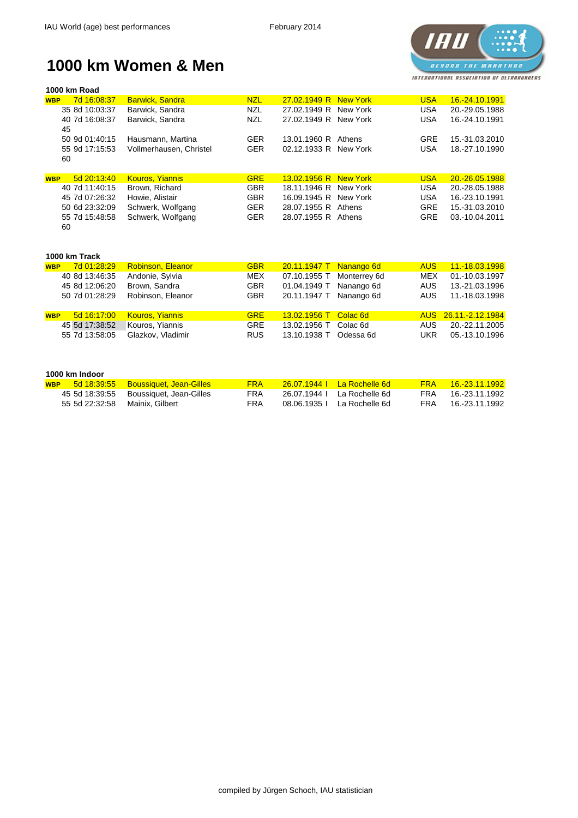

#### **1000 km Women & Men**

| 1000 km Road              |                         |            |                       |          |            |                       |
|---------------------------|-------------------------|------------|-----------------------|----------|------------|-----------------------|
| 7d 16:08:37<br><b>WBP</b> | <b>Barwick, Sandra</b>  | <b>NZL</b> | 27.02.1949 R New York |          | <b>USA</b> | <u>16.-24.10.1991</u> |
| 35 8d 10:03:37            | Barwick, Sandra         | <b>NZL</b> | 27.02.1949 R New York |          | <b>USA</b> | 20.-29.05.1988        |
| 40 7d 16:08:37            | Barwick, Sandra         | <b>NZL</b> | 27.02.1949 R          | New York | <b>USA</b> | 16.-24.10.1991        |
| 45                        |                         |            |                       |          |            |                       |
| 50 9d 01:40:15            | Hausmann, Martina       | <b>GER</b> | 13.01.1960 R Athens   |          | <b>GRE</b> | 15.-31.03.2010        |
| 55 9d 17:15:53            | Vollmerhausen, Christel | <b>GER</b> | 02.12.1933 R New York |          | <b>USA</b> | 18.-27.10.1990        |
| 60                        |                         |            |                       |          |            |                       |
|                           |                         |            |                       |          |            |                       |
| 5d 20:13:40<br><b>WBP</b> | <b>Kouros, Yiannis</b>  | <b>GRE</b> | 13.02.1956 R New York |          | <b>USA</b> | 20.-26.05.1988        |
| 40 7d 11:40:15            | Brown, Richard          | <b>GBR</b> | 18.11.1946 R New York |          | <b>USA</b> | 20.-28.05.1988        |
| 45 7d 07:26:32            | Howie, Alistair         | <b>GBR</b> | 16.09.1945 R New York |          | <b>USA</b> | 16.-23.10.1991        |
| 50 6d 23:32:09            | Schwerk, Wolfgang       | <b>GER</b> | 28.07.1955 R Athens   |          | <b>GRE</b> | 15.-31.03.2010        |
| 55 7d 15:48:58            | Schwerk, Wolfgang       | <b>GER</b> | 28.07.1955 R Athens   |          | <b>GRE</b> | 03.-10.04.2011        |
| 60                        |                         |            |                       |          |            |                       |
|                           |                         |            |                       |          |            |                       |
|                           |                         |            |                       |          |            |                       |
| 1000 km Track             |                         |            |                       |          |            |                       |

| <b>WBP</b> | 7d 01:28:29    | <b>Robinson, Eleanor</b> | <b>GBR</b> | 20.11.1947 T Nanango 6d   | <b>AUS</b>              | 11.-18.03.1998       |
|------------|----------------|--------------------------|------------|---------------------------|-------------------------|----------------------|
|            | 40 8d 13:46:35 | Andonie, Sylvia          | <b>MEX</b> | 07.10.1955 T Monterrey 6d | MEX                     | 01.-10.03.1997       |
|            | 45 8d 12:06:20 | Brown, Sandra            | <b>GBR</b> | 01.04.1949 T Nanango 6d   | AUS                     | 13.-21.03.1996       |
|            | 50 7d 01:28:29 | Robinson, Eleanor        | <b>GBR</b> | 20.11.1947 T Nanango 6d   | AUS                     | 11.-18.03.1998       |
| <b>WBP</b> | 5d 16:17:00    | <b>Kouros, Yiannis</b>   | <b>GRE</b> | 13.02.1956 T Colac 6d     |                         | AUS 26.11.-2.12.1984 |
|            | 45 5d 17:38:52 | Kouros, Yiannis          | <b>GRE</b> | 13.02.1956 T              | AUS.<br>Colac 6d        | 20.-22.11.2005       |
|            | 55 7d 13:58:05 | Glazkov, Vladimir        | <b>RUS</b> | 13.10.1938 T              | Odessa 6d<br><b>UKR</b> | 05.-13.10.1996       |

#### **1000 km Indoor**

| <b>WBP</b> |                | 5d 18:39:55 Boussiquet, Jean-Gilles    | FRA        | <u> 26.07.1944   La Rochelle 6d  </u> | <b>FRA</b> | <u> 16 -23 11 1992</u> |
|------------|----------------|----------------------------------------|------------|---------------------------------------|------------|------------------------|
|            |                | 45 5d 18:39:55 Boussiquet, Jean-Gilles | FRA        | -26.07.1944 La Rochelle 6d            | FRA.       | 16.-23.11.1992         |
|            | 55 5d 22:32:58 | Mainix. Gilbert                        | <b>FRA</b> | 08.06.1935 L La Rochelle 6d           | FRA        | 16.-23.11.1992         |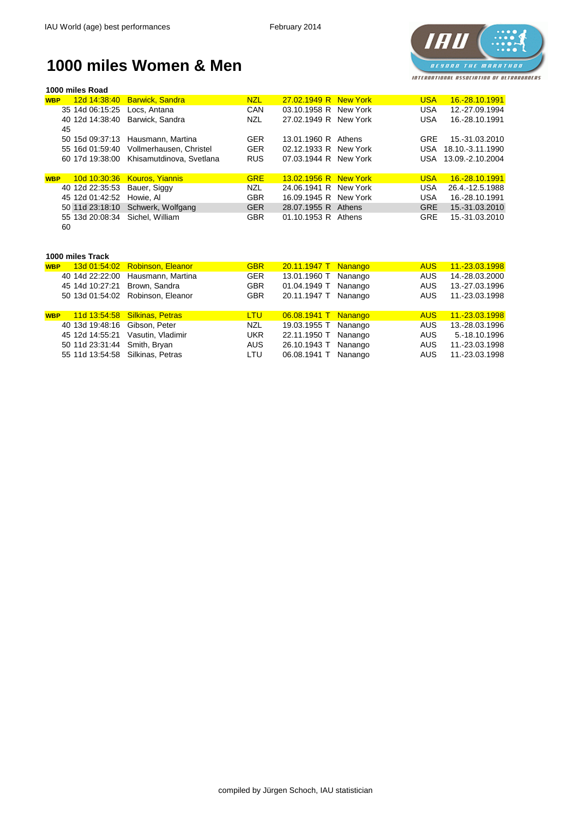

#### **1000 miles Women & Men**

| 1000 miles Road            |                          |            |                     |                 |            |                  |
|----------------------------|--------------------------|------------|---------------------|-----------------|------------|------------------|
| 12d 14:38:40<br><b>WBP</b> | <b>Barwick, Sandra</b>   | <b>NZL</b> | 27.02.1949 R        | <b>New York</b> | <b>USA</b> | 16.-28.10.1991   |
| 35 14d 06:15:25            | Locs, Antana             | <b>CAN</b> | 03.10.1958 R        | New York        | <b>USA</b> | 12.-27.09.1994   |
| 40 12d 14:38:40<br>45      | Barwick, Sandra          | <b>NZL</b> | 27.02.1949 R        | New York        | <b>USA</b> | 16.-28.10.1991   |
| 50 15d 09:37:13            | Hausmann, Martina        | <b>GER</b> | 13.01.1960 R        | Athens          | <b>GRE</b> | 15.-31.03.2010   |
| 55 16d 01:59:40            | Vollmerhausen, Christel  | <b>GER</b> | 02.12.1933 R        | New York        | <b>USA</b> | 18.10.-3.11.1990 |
| 60 17d 19:38:00            | Khisamutdinova, Svetlana | <b>RUS</b> | 07.03.1944 R        | New York        | USA.       | 13.09.-2.10.2004 |
| 10d 10:30:36<br><b>WBP</b> | <b>Kouros, Yiannis</b>   | <b>GRE</b> | 13.02.1956 R        | <b>New York</b> | <b>USA</b> | 16.-28.10.1991   |
| 40 12d 22:35:53            |                          |            | 24.06.1941 R        | New York        | <b>USA</b> | 26.4.-12.5.1988  |
|                            | Bauer, Siggy             | <b>NZL</b> |                     |                 |            |                  |
| 45 12d 01:42:52            | Howie, Al                | <b>GBR</b> | 16.09.1945 R        | New York        | <b>USA</b> | 16.-28.10.1991   |
| 50 11d 23:18:10            | Schwerk, Wolfgang        | <b>GER</b> | 28.07.1955 R        | Athens          | <b>GRE</b> | 15.-31.03.2010   |
| 55 13d 20:08:34            | Sichel, William          | <b>GBR</b> | 01.10.1953 R Athens |                 | <b>GRE</b> | 15.-31.03.2010   |
| 60                         |                          |            |                     |                 |            |                  |
| 1000 miles Track           |                          |            |                     |                 |            |                  |
| 13d 01:54:02<br><b>WBP</b> | <b>Robinson, Eleanor</b> | <b>GBR</b> | 20.11.1947 T        | <b>Nanango</b>  | <b>AUS</b> | 11.-23.03.1998   |
| 40 14d 22:22:00            | Hausmann, Martina        | <b>GER</b> | 13.01.1960 T        | Nanango         | <b>AUS</b> | 14.-28.03.2000   |
| 45 14d 10:27:21            | Brown, Sandra            | <b>GBR</b> | 01.04.1949 T        | Nanango         | <b>AUS</b> | 13.-27.03.1996   |
| 50 13d 01:54:02            | Robinson, Eleanor        | <b>GBR</b> | 20.11.1947 T        | Nanango         | <b>AUS</b> | 11.-23.03.1998   |
|                            |                          |            |                     |                 |            |                  |
| 11d 13:54:58<br><b>WBP</b> | <b>Silkinas, Petras</b>  | <b>LTU</b> | 06.08.1941 T        | <b>Nanango</b>  | <b>AUS</b> | 11.-23.03.1998   |
| 40 13d 19:48:16            | Gibson, Peter            | <b>NZL</b> | 19.03.1955 T        | Nanango         | <b>AUS</b> | 13.-28.03.1996   |
| 45 12d 14:55:21            | Vasutin, Vladimir        | <b>UKR</b> | 22.11.1950 T        | Nanango         | <b>AUS</b> | 5.-18.10.1996    |
| 50 11d 23:31:44            | Smith, Bryan             | <b>AUS</b> | 26.10.1943 T        | Nanango         | <b>AUS</b> | 11.-23.03.1998   |

11d 13:54:58 Silkinas, Petras LTU 06.08.1941 T Nanango AUS 11.-23.03.1998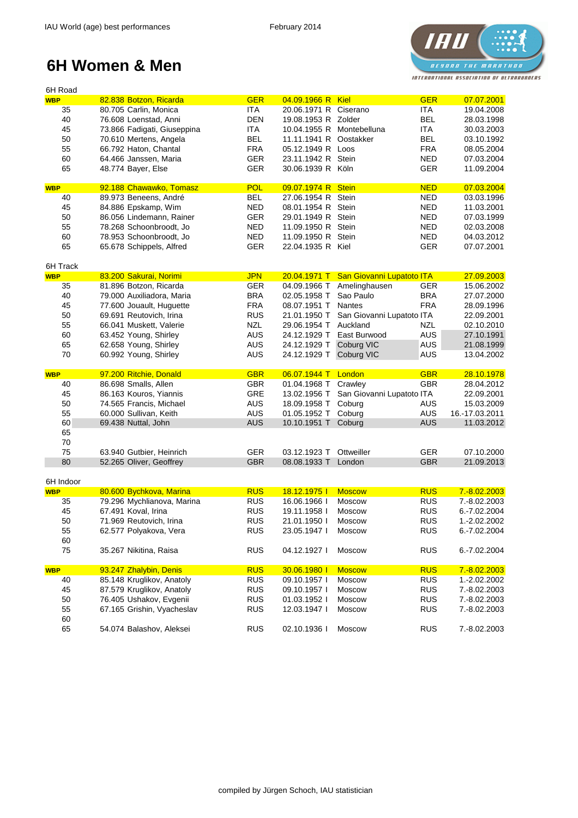

| 6H Road    |                             |            |                       |                                        |            |                |
|------------|-----------------------------|------------|-----------------------|----------------------------------------|------------|----------------|
| <b>WBP</b> | 82.838 Botzon, Ricarda      | <b>GER</b> | 04.09.1966 R          | Kiel                                   | <b>GER</b> | 07.07.2001     |
| 35         | 80.705 Carlin, Monica       | <b>ITA</b> | 20.06.1971 R Ciserano |                                        | <b>ITA</b> | 19.04.2008     |
| 40         | 76.608 Loenstad, Anni       | <b>DEN</b> | 19.08.1953 R Zolder   |                                        | <b>BEL</b> | 28.03.1998     |
| 45         | 73.866 Fadigati, Giuseppina | <b>ITA</b> |                       | 10.04.1955 R Montebelluna              | <b>ITA</b> | 30.03.2003     |
| 50         | 70.610 Mertens, Angela      | <b>BEL</b> | 11.11.1941 R          | Oostakker                              | <b>BEL</b> | 03.10.1992     |
| 55         | 66.792 Haton, Chantal       | <b>FRA</b> | 05.12.1949 R          | Loos                                   | <b>FRA</b> | 08.05.2004     |
| 60         | 64.466 Janssen, Maria       | <b>GER</b> | 23.11.1942 R          | Stein                                  | <b>NED</b> | 07.03.2004     |
| 65         | 48.774 Bayer, Else          | <b>GER</b> | 30.06.1939 R Köln     |                                        | <b>GER</b> | 11.09.2004     |
|            |                             |            |                       |                                        |            |                |
| <b>WBP</b> | 92.188 Chawawko, Tomasz     | <b>POL</b> | 09.07.1974 R Stein    |                                        | <b>NED</b> | 07.03.2004     |
| 40         | 89.973 Beneens, André       | <b>BEL</b> | 27.06.1954 R Stein    |                                        | <b>NED</b> | 03.03.1996     |
| 45         | 84.886 Epskamp, Wim         | <b>NED</b> | 08.01.1954 R Stein    |                                        | <b>NED</b> | 11.03.2001     |
| 50         | 86.056 Lindemann, Rainer    | <b>GER</b> | 29.01.1949 R Stein    |                                        | <b>NED</b> | 07.03.1999     |
| 55         | 78.268 Schoonbroodt, Jo     | <b>NED</b> | 11.09.1950 R Stein    |                                        | <b>NED</b> | 02.03.2008     |
| 60         | 78.953 Schoonbroodt, Jo     | <b>NED</b> | 11.09.1950 R Stein    |                                        | <b>NED</b> | 04.03.2012     |
| 65         | 65.678 Schippels, Alfred    | <b>GER</b> | 22.04.1935 R Kiel     |                                        | <b>GER</b> | 07.07.2001     |
|            |                             |            |                       |                                        |            |                |
| 6H Track   |                             |            |                       |                                        |            |                |
| <b>WBP</b> | 83.200 Sakurai, Norimi      | <b>JPN</b> |                       | 20.04.1971 T San Giovanni Lupatoto ITA |            | 27.09.2003     |
| 35         | 81.896 Botzon, Ricarda      | <b>GER</b> | 04.09.1966 T          | Amelinghausen                          | <b>GER</b> | 15.06.2002     |
| 40         | 79.000 Auxiliadora, Maria   | <b>BRA</b> | 02.05.1958 T          | Sao Paulo                              | <b>BRA</b> | 27.07.2000     |
| 45         | 77.600 Jouault, Huguette    | <b>FRA</b> | 08.07.1951 T          | Nantes                                 | <b>FRA</b> | 28.09.1996     |
| 50         | 69.691 Reutovich, Irina     | <b>RUS</b> | 21.01.1950 T          | San Giovanni Lupatoto ITA              |            | 22.09.2001     |
| 55         | 66.041 Muskett, Valerie     | <b>NZL</b> | 29.06.1954 T          | Auckland                               | <b>NZL</b> | 02.10.2010     |
| 60         | 63.452 Young, Shirley       | <b>AUS</b> | 24.12.1929 T          | East Burwood                           | <b>AUS</b> | 27.10.1991     |
| 65         | 62.658 Young, Shirley       | <b>AUS</b> | 24.12.1929 T          | Coburg VIC                             | <b>AUS</b> | 21.08.1999     |
| 70         | 60.992 Young, Shirley       | <b>AUS</b> | 24.12.1929 T          | Coburg VIC                             | <b>AUS</b> | 13.04.2002     |
|            |                             |            |                       |                                        |            |                |
|            |                             |            |                       |                                        |            |                |
| <b>WBP</b> | 97.200 Ritchie, Donald      | <b>GBR</b> | 06.07.1944 T          | London                                 | <b>GBR</b> | 28.10.1978     |
| 40         | 86.698 Smalls, Allen        | <b>GBR</b> | 01.04.1968 T          | Crawley                                | <b>GBR</b> | 28.04.2012     |
| 45         | 86.163 Kouros, Yiannis      | <b>GRE</b> | 13.02.1956 T          | San Giovanni Lupatoto ITA              |            | 22.09.2001     |
| 50         | 74.565 Francis, Michael     | <b>AUS</b> | 18.09.1958 T          | Coburg                                 | <b>AUS</b> | 15.03.2009     |
| 55         | 60.000 Sullivan, Keith      | <b>AUS</b> | 01.05.1952 T          | Coburg                                 | <b>AUS</b> | 16.-17.03.2011 |
|            |                             |            |                       |                                        |            |                |
| 60         | 69.438 Nuttal, John         | <b>AUS</b> | 10.10.1951 T          | Coburg                                 | <b>AUS</b> | 11.03.2012     |
| 65         |                             |            |                       |                                        |            |                |
| 70         |                             |            |                       |                                        |            |                |
| 75         | 63.940 Gutbier, Heinrich    | <b>GER</b> | 03.12.1923 T          | Ottweiller                             | <b>GER</b> | 07.10.2000     |
| 80         | 52.265 Oliver, Geoffrey     | <b>GBR</b> | 08.08.1933 T          | London                                 | <b>GBR</b> | 21.09.2013     |
| 6H Indoor  |                             |            |                       |                                        |            |                |
| <b>WBP</b> | 80.600 Bychkova, Marina     | <b>RUS</b> | 18.12.1975 l          | <b>Moscow</b>                          | <b>RUS</b> | 7.-8.02.2003   |
| 35         | 79.296 Mychlianova, Marina  | <b>RUS</b> | 16.06.1966            | Moscow                                 | <b>RUS</b> | 7.-8.02.2003   |
| 45         | 67.491 Koval, Irina         | <b>RUS</b> | 19.11.1958 l          | Moscow                                 | <b>RUS</b> | 6.-7.02.2004   |
|            |                             | <b>RUS</b> | 21.01.1950            | Moscow                                 | <b>RUS</b> | 1.-2.02.2002   |
| 50         | 71.969 Reutovich, Irina     |            |                       |                                        |            |                |
| 55         | 62.577 Polyakova, Vera      | <b>RUS</b> | 23.05.1947 l          | <b>Moscow</b>                          | <b>RUS</b> | 6.-7.02.2004   |
| 60<br>75   | 35.267 Nikitina, Raisa      | <b>RUS</b> | 04.12.1927            | Moscow                                 | <b>RUS</b> | 6.-7.02.2004   |
|            |                             |            |                       |                                        |            |                |
| <b>WBP</b> | 93.247 Zhalybin, Denis      | <b>RUS</b> | 30.06.1980 l          | <b>Moscow</b>                          | <b>RUS</b> | 7.-8.02.2003   |
| 40         | 85.148 Kruglikov, Anatoly   | <b>RUS</b> | 09.10.1957 l          | Moscow                                 | <b>RUS</b> | 1.-2.02.2002   |
| 45         | 87.579 Kruglikov, Anatoly   | <b>RUS</b> | 09.10.1957 l          | Moscow                                 | <b>RUS</b> | 7.-8.02.2003   |
| 50         | 76.405 Ushakov, Evgenii     | <b>RUS</b> | 01.03.1952            | Moscow                                 | <b>RUS</b> | 7.-8.02.2003   |
| 55         | 67.165 Grishin, Vyacheslav  | <b>RUS</b> | 12.03.1947 l          | Moscow                                 | <b>RUS</b> | 7.-8.02.2003   |
| 60         |                             |            |                       |                                        |            |                |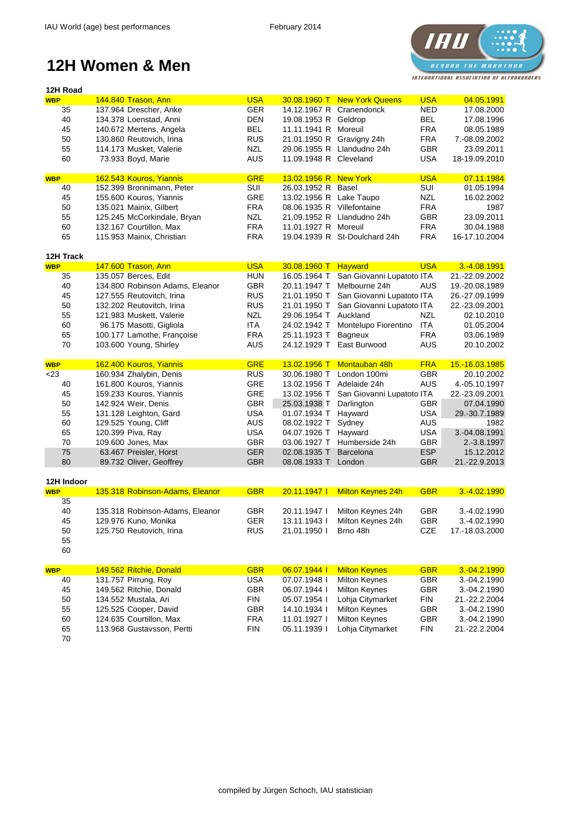

| 144.840 Trason, Ann<br>30.08.1960 T New York Queens<br>04.05.1991<br><b>WBP</b><br><b>GER</b><br><b>NED</b><br>35<br>137.964 Drescher, Anke<br>14.12.1967 R Cranendonck<br>17.08.2000<br>40<br><b>DEN</b><br><b>BEL</b><br>17.08.1996<br>134.378 Loenstad, Anni<br>19.08.1953 R Geldrop<br>45<br><b>BEL</b><br><b>FRA</b><br>140.672 Mertens, Angela<br>11.11.1941 R Moreuil<br>08.05.1989<br>50<br><b>RUS</b><br><b>FRA</b><br>130.860 Reutovich, Irina<br>21.01.1950 R Gravigny 24h<br>7.-08.09.2002<br><b>NZL</b><br><b>GBR</b><br>55<br>29.06.1955 R Llandudno 24h<br>23.09.2011<br>114.173 Musket, Valerie<br><b>AUS</b><br>60<br>11.09.1948 R Cleveland<br><b>USA</b><br>73.933 Boyd, Marie<br>18-19.09.2010<br><b>GRE</b><br><b>USA</b><br>07.11.1984<br>162.543 Kouros, Yiannis<br>13.02.1956 R New York<br><b>WBP</b><br>152.399 Bronnimann, Peter<br>SUI<br>SUI<br>26.03.1952 R Basel<br>01.05.1994<br>40<br>155.600 Kouros, Yiannis<br><b>GRE</b><br><b>NZL</b><br>45<br>13.02.1956 R Lake Taupo<br>16.02.2002<br><b>FRA</b><br><b>FRA</b><br>50<br>135.021 Mainix, Gilbert<br>08.06.1935 R Villefontaine<br>1987<br>55<br>125.245 McCorkindale, Bryan<br><b>NZL</b><br>21.09.1952 R Llandudno 24h<br><b>GBR</b><br>23.09.2011<br>60<br><b>FRA</b><br><b>FRA</b><br>132.167 Courtillon, Max<br>11.01.1927 R Moreuil<br>30.04.1988<br>65<br><b>FRA</b><br>19.04.1939 R St-Doulchard 24h<br><b>FRA</b><br>115.953 Mainix, Christian<br>16-17.10.2004<br>12H Track<br><b>USA</b><br><b>USA</b><br>3.-4.08.1991<br><b>WBP</b><br>147.600 Trason, Ann<br>30.08.1960 T<br>Hayward<br><b>HUN</b><br>16.05.1964 T San Giovanni Lupatoto ITA<br>35<br>135.057 Berces, Edit<br>21.-22.09.2002<br><b>GBR</b><br>40<br>Melbourne 24h<br><b>AUS</b><br>134.800 Robinson Adams, Eleanor<br>20.11.1947 T<br>19.-20.08.1989<br><b>RUS</b><br>San Giovanni Lupatoto ITA<br>45<br>127.555 Reutovitch, Irina<br>21.01.1950 T<br>26.-27.09.1999<br>50<br><b>RUS</b><br>San Giovanni Lupatoto ITA<br>132.202 Reutovitch, Irina<br>21.01.1950 T<br>22.-23.09.2001<br>55<br><b>NZL</b><br><b>NZL</b><br>121.983 Muskett, Valerie<br>29.06.1954 T Auckland<br>02.10.2010<br>60<br>ITA<br><b>ITA</b><br>96.175 Masotti, Gigliola<br>24.02.1942 T<br>Montelupo Fiorentino<br>01.05.2004<br>65<br>100.177 Lamothe, Françoise<br><b>FRA</b><br><b>FRA</b><br>25.11.1923 T<br>Bagneux<br>03.06.1989<br>70<br><b>AUS</b><br>East Burwood<br><b>AUS</b><br>103.600 Young, Shirley<br>24.12.1929 T<br>20.10.2002<br>162.400 Kouros, Yiannis<br><b>GRE</b><br>Montauban 48h<br><b>FRA</b><br>13.02.1956 T<br>15.-16.03.1985<br><b>WBP</b><br>< 23<br>160.934 Zhalybin, Denis<br><b>RUS</b><br><b>GBR</b><br>30.06.1980 T<br>London 100mi<br>20.10.2002<br><b>GRE</b><br>161.800 Kouros, Yiannis<br>Adelaide 24h<br><b>AUS</b><br>40<br>13.02.1956 T<br>4.-05.10.1997<br><b>GRE</b><br>45<br>159.233 Kouros, Yiannis<br>13.02.1956 T<br>San Giovanni Lupatoto ITA<br>22.-23.09.2001<br>50<br><b>GBR</b><br>142.924 Weir, Denis<br>25.03.1938 T<br>Darlington<br><b>GBR</b><br>07.04.1990<br>55<br>131.128 Leighton, Gard<br><b>USA</b><br>01.07.1934 T<br>Hayward<br><b>USA</b><br>29.-30.7.1989<br>60<br>129.525 Young, Cliff<br><b>AUS</b><br>08.02.1922 T<br>Sydney<br><b>AUS</b><br>1982<br>65<br>120.399 Piva, Ray<br><b>USA</b><br><b>USA</b><br>3.-04.08.1991<br>04.07.1926 T<br>Hayward<br><b>GBR</b><br><b>GBR</b><br>70<br>03.06.1927 T Humberside 24h<br>2.-3.8.1997<br>109.600 Jones, Max<br>63.467 Preisler, Horst<br><b>GER</b><br>02.08.1935 T<br><b>ESP</b><br>15.12.2012<br>75<br>Barcelona<br>89.732 Oliver, Geoffrey<br><b>GBR</b><br>21.-22.9.2013<br>80<br>08.08.1933 T<br>London<br><b>GBR</b><br>12H Indoor<br>135.318 Robinson-Adams, Eleanor<br><b>Milton Keynes 24h</b><br><b>GBR</b><br>20.11.1947  <br><b>GBR</b><br>3.-4.02.1990<br><b>WBP</b><br>35<br>Milton Keynes 24h<br>40<br>135.318 Robinson-Adams, Eleanor<br><b>GBR</b><br>20.11.1947 l<br><b>GBR</b><br>3.-4.02.1990<br><b>GER</b><br>Milton Keynes 24h<br><b>GBR</b><br>45<br>129.976 Kuno, Monika<br>13.11.1943  <br>3.-4.02.1990<br>50<br><b>RUS</b><br>Brno 48h<br><b>CZE</b><br>125.750 Reutovich, Irina<br>21.01.1950  <br>17.-18.03.2000<br>55<br>60<br>149.562 Ritchie, Donald<br><b>GBR</b><br>06.07.1944  <br><b>Milton Keynes</b><br><b>GBR</b><br>3.-04.2.1990<br><b>WBP</b><br>131.757 Pirrung, Roy<br><b>USA</b><br><b>Milton Keynes</b><br>07.07.1948 l<br><b>GBR</b><br>40<br>3.-04.2.1990<br>149.562 Ritchie, Donald<br><b>Milton Keynes</b><br>45<br><b>GBR</b><br>06.07.1944 l<br><b>GBR</b><br>3.-04.2.1990<br>50<br>134.552 Mustala, Ari<br><b>FIN</b><br>Lohja Citymarket<br><b>FIN</b><br>05.07.1954 l<br>21.-22.2.2004<br>55<br>125.525 Cooper, David<br><b>GBR</b><br>14.10.1934 l<br><b>Milton Keynes</b><br><b>GBR</b><br>3.-04.2.1990<br>124.635 Courtillon, Max<br><b>Milton Keynes</b><br>60<br><b>FRA</b><br>11.01.1927 l<br><b>GBR</b><br>3.-04.2.1990<br>65<br>Lohja Citymarket<br>113.968 Gustavsson, Pertti<br><b>FIN</b><br>05.11.1939 l<br><b>FIN</b><br>21.-22.2.2004 | 12H Road |  |            |  |            |  |
|-----------------------------------------------------------------------------------------------------------------------------------------------------------------------------------------------------------------------------------------------------------------------------------------------------------------------------------------------------------------------------------------------------------------------------------------------------------------------------------------------------------------------------------------------------------------------------------------------------------------------------------------------------------------------------------------------------------------------------------------------------------------------------------------------------------------------------------------------------------------------------------------------------------------------------------------------------------------------------------------------------------------------------------------------------------------------------------------------------------------------------------------------------------------------------------------------------------------------------------------------------------------------------------------------------------------------------------------------------------------------------------------------------------------------------------------------------------------------------------------------------------------------------------------------------------------------------------------------------------------------------------------------------------------------------------------------------------------------------------------------------------------------------------------------------------------------------------------------------------------------------------------------------------------------------------------------------------------------------------------------------------------------------------------------------------------------------------------------------------------------------------------------------------------------------------------------------------------------------------------------------------------------------------------------------------------------------------------------------------------------------------------------------------------------------------------------------------------------------------------------------------------------------------------------------------------------------------------------------------------------------------------------------------------------------------------------------------------------------------------------------------------------------------------------------------------------------------------------------------------------------------------------------------------------------------------------------------------------------------------------------------------------------------------------------------------------------------------------------------------------------------------------------------------------------------------------------------------------------------------------------------------------------------------------------------------------------------------------------------------------------------------------------------------------------------------------------------------------------------------------------------------------------------------------------------------------------------------------------------------------------------------------------------------------------------------------------------------------------------------------------------------------------------------------------------------------------------------------------------------------------------------------------------------------------------------------------------------------------------------------------------------------------------------------------------------------------------------------------------------------------------------------------------------------------------------------------------------------------------------------------------------------------------------------------------------------------------------------------------------------------------------------------------------------------------------------------------------------------------------------------------------------------------------------------------------------------------------------------------------------------------------------------------------------------------------------------------------------------------------------------------------------------------------------------------------------------------------------------------------------------------------------------------------------------------------------------------------------------------------------------------------------------------------------------------------------------|----------|--|------------|--|------------|--|
|                                                                                                                                                                                                                                                                                                                                                                                                                                                                                                                                                                                                                                                                                                                                                                                                                                                                                                                                                                                                                                                                                                                                                                                                                                                                                                                                                                                                                                                                                                                                                                                                                                                                                                                                                                                                                                                                                                                                                                                                                                                                                                                                                                                                                                                                                                                                                                                                                                                                                                                                                                                                                                                                                                                                                                                                                                                                                                                                                                                                                                                                                                                                                                                                                                                                                                                                                                                                                                                                                                                                                                                                                                                                                                                                                                                                                                                                                                                                                                                                                                                                                                                                                                                                                                                                                                                                                                                                                                                                                                                                                                                                                                                                                                                                                                                                                                                                                                                                                                                                                                                                             |          |  | <b>USA</b> |  | <b>USA</b> |  |
|                                                                                                                                                                                                                                                                                                                                                                                                                                                                                                                                                                                                                                                                                                                                                                                                                                                                                                                                                                                                                                                                                                                                                                                                                                                                                                                                                                                                                                                                                                                                                                                                                                                                                                                                                                                                                                                                                                                                                                                                                                                                                                                                                                                                                                                                                                                                                                                                                                                                                                                                                                                                                                                                                                                                                                                                                                                                                                                                                                                                                                                                                                                                                                                                                                                                                                                                                                                                                                                                                                                                                                                                                                                                                                                                                                                                                                                                                                                                                                                                                                                                                                                                                                                                                                                                                                                                                                                                                                                                                                                                                                                                                                                                                                                                                                                                                                                                                                                                                                                                                                                                             |          |  |            |  |            |  |
|                                                                                                                                                                                                                                                                                                                                                                                                                                                                                                                                                                                                                                                                                                                                                                                                                                                                                                                                                                                                                                                                                                                                                                                                                                                                                                                                                                                                                                                                                                                                                                                                                                                                                                                                                                                                                                                                                                                                                                                                                                                                                                                                                                                                                                                                                                                                                                                                                                                                                                                                                                                                                                                                                                                                                                                                                                                                                                                                                                                                                                                                                                                                                                                                                                                                                                                                                                                                                                                                                                                                                                                                                                                                                                                                                                                                                                                                                                                                                                                                                                                                                                                                                                                                                                                                                                                                                                                                                                                                                                                                                                                                                                                                                                                                                                                                                                                                                                                                                                                                                                                                             |          |  |            |  |            |  |
|                                                                                                                                                                                                                                                                                                                                                                                                                                                                                                                                                                                                                                                                                                                                                                                                                                                                                                                                                                                                                                                                                                                                                                                                                                                                                                                                                                                                                                                                                                                                                                                                                                                                                                                                                                                                                                                                                                                                                                                                                                                                                                                                                                                                                                                                                                                                                                                                                                                                                                                                                                                                                                                                                                                                                                                                                                                                                                                                                                                                                                                                                                                                                                                                                                                                                                                                                                                                                                                                                                                                                                                                                                                                                                                                                                                                                                                                                                                                                                                                                                                                                                                                                                                                                                                                                                                                                                                                                                                                                                                                                                                                                                                                                                                                                                                                                                                                                                                                                                                                                                                                             |          |  |            |  |            |  |
|                                                                                                                                                                                                                                                                                                                                                                                                                                                                                                                                                                                                                                                                                                                                                                                                                                                                                                                                                                                                                                                                                                                                                                                                                                                                                                                                                                                                                                                                                                                                                                                                                                                                                                                                                                                                                                                                                                                                                                                                                                                                                                                                                                                                                                                                                                                                                                                                                                                                                                                                                                                                                                                                                                                                                                                                                                                                                                                                                                                                                                                                                                                                                                                                                                                                                                                                                                                                                                                                                                                                                                                                                                                                                                                                                                                                                                                                                                                                                                                                                                                                                                                                                                                                                                                                                                                                                                                                                                                                                                                                                                                                                                                                                                                                                                                                                                                                                                                                                                                                                                                                             |          |  |            |  |            |  |
|                                                                                                                                                                                                                                                                                                                                                                                                                                                                                                                                                                                                                                                                                                                                                                                                                                                                                                                                                                                                                                                                                                                                                                                                                                                                                                                                                                                                                                                                                                                                                                                                                                                                                                                                                                                                                                                                                                                                                                                                                                                                                                                                                                                                                                                                                                                                                                                                                                                                                                                                                                                                                                                                                                                                                                                                                                                                                                                                                                                                                                                                                                                                                                                                                                                                                                                                                                                                                                                                                                                                                                                                                                                                                                                                                                                                                                                                                                                                                                                                                                                                                                                                                                                                                                                                                                                                                                                                                                                                                                                                                                                                                                                                                                                                                                                                                                                                                                                                                                                                                                                                             |          |  |            |  |            |  |
|                                                                                                                                                                                                                                                                                                                                                                                                                                                                                                                                                                                                                                                                                                                                                                                                                                                                                                                                                                                                                                                                                                                                                                                                                                                                                                                                                                                                                                                                                                                                                                                                                                                                                                                                                                                                                                                                                                                                                                                                                                                                                                                                                                                                                                                                                                                                                                                                                                                                                                                                                                                                                                                                                                                                                                                                                                                                                                                                                                                                                                                                                                                                                                                                                                                                                                                                                                                                                                                                                                                                                                                                                                                                                                                                                                                                                                                                                                                                                                                                                                                                                                                                                                                                                                                                                                                                                                                                                                                                                                                                                                                                                                                                                                                                                                                                                                                                                                                                                                                                                                                                             |          |  |            |  |            |  |
|                                                                                                                                                                                                                                                                                                                                                                                                                                                                                                                                                                                                                                                                                                                                                                                                                                                                                                                                                                                                                                                                                                                                                                                                                                                                                                                                                                                                                                                                                                                                                                                                                                                                                                                                                                                                                                                                                                                                                                                                                                                                                                                                                                                                                                                                                                                                                                                                                                                                                                                                                                                                                                                                                                                                                                                                                                                                                                                                                                                                                                                                                                                                                                                                                                                                                                                                                                                                                                                                                                                                                                                                                                                                                                                                                                                                                                                                                                                                                                                                                                                                                                                                                                                                                                                                                                                                                                                                                                                                                                                                                                                                                                                                                                                                                                                                                                                                                                                                                                                                                                                                             |          |  |            |  |            |  |
|                                                                                                                                                                                                                                                                                                                                                                                                                                                                                                                                                                                                                                                                                                                                                                                                                                                                                                                                                                                                                                                                                                                                                                                                                                                                                                                                                                                                                                                                                                                                                                                                                                                                                                                                                                                                                                                                                                                                                                                                                                                                                                                                                                                                                                                                                                                                                                                                                                                                                                                                                                                                                                                                                                                                                                                                                                                                                                                                                                                                                                                                                                                                                                                                                                                                                                                                                                                                                                                                                                                                                                                                                                                                                                                                                                                                                                                                                                                                                                                                                                                                                                                                                                                                                                                                                                                                                                                                                                                                                                                                                                                                                                                                                                                                                                                                                                                                                                                                                                                                                                                                             |          |  |            |  |            |  |
|                                                                                                                                                                                                                                                                                                                                                                                                                                                                                                                                                                                                                                                                                                                                                                                                                                                                                                                                                                                                                                                                                                                                                                                                                                                                                                                                                                                                                                                                                                                                                                                                                                                                                                                                                                                                                                                                                                                                                                                                                                                                                                                                                                                                                                                                                                                                                                                                                                                                                                                                                                                                                                                                                                                                                                                                                                                                                                                                                                                                                                                                                                                                                                                                                                                                                                                                                                                                                                                                                                                                                                                                                                                                                                                                                                                                                                                                                                                                                                                                                                                                                                                                                                                                                                                                                                                                                                                                                                                                                                                                                                                                                                                                                                                                                                                                                                                                                                                                                                                                                                                                             |          |  |            |  |            |  |
|                                                                                                                                                                                                                                                                                                                                                                                                                                                                                                                                                                                                                                                                                                                                                                                                                                                                                                                                                                                                                                                                                                                                                                                                                                                                                                                                                                                                                                                                                                                                                                                                                                                                                                                                                                                                                                                                                                                                                                                                                                                                                                                                                                                                                                                                                                                                                                                                                                                                                                                                                                                                                                                                                                                                                                                                                                                                                                                                                                                                                                                                                                                                                                                                                                                                                                                                                                                                                                                                                                                                                                                                                                                                                                                                                                                                                                                                                                                                                                                                                                                                                                                                                                                                                                                                                                                                                                                                                                                                                                                                                                                                                                                                                                                                                                                                                                                                                                                                                                                                                                                                             |          |  |            |  |            |  |
|                                                                                                                                                                                                                                                                                                                                                                                                                                                                                                                                                                                                                                                                                                                                                                                                                                                                                                                                                                                                                                                                                                                                                                                                                                                                                                                                                                                                                                                                                                                                                                                                                                                                                                                                                                                                                                                                                                                                                                                                                                                                                                                                                                                                                                                                                                                                                                                                                                                                                                                                                                                                                                                                                                                                                                                                                                                                                                                                                                                                                                                                                                                                                                                                                                                                                                                                                                                                                                                                                                                                                                                                                                                                                                                                                                                                                                                                                                                                                                                                                                                                                                                                                                                                                                                                                                                                                                                                                                                                                                                                                                                                                                                                                                                                                                                                                                                                                                                                                                                                                                                                             |          |  |            |  |            |  |
|                                                                                                                                                                                                                                                                                                                                                                                                                                                                                                                                                                                                                                                                                                                                                                                                                                                                                                                                                                                                                                                                                                                                                                                                                                                                                                                                                                                                                                                                                                                                                                                                                                                                                                                                                                                                                                                                                                                                                                                                                                                                                                                                                                                                                                                                                                                                                                                                                                                                                                                                                                                                                                                                                                                                                                                                                                                                                                                                                                                                                                                                                                                                                                                                                                                                                                                                                                                                                                                                                                                                                                                                                                                                                                                                                                                                                                                                                                                                                                                                                                                                                                                                                                                                                                                                                                                                                                                                                                                                                                                                                                                                                                                                                                                                                                                                                                                                                                                                                                                                                                                                             |          |  |            |  |            |  |
|                                                                                                                                                                                                                                                                                                                                                                                                                                                                                                                                                                                                                                                                                                                                                                                                                                                                                                                                                                                                                                                                                                                                                                                                                                                                                                                                                                                                                                                                                                                                                                                                                                                                                                                                                                                                                                                                                                                                                                                                                                                                                                                                                                                                                                                                                                                                                                                                                                                                                                                                                                                                                                                                                                                                                                                                                                                                                                                                                                                                                                                                                                                                                                                                                                                                                                                                                                                                                                                                                                                                                                                                                                                                                                                                                                                                                                                                                                                                                                                                                                                                                                                                                                                                                                                                                                                                                                                                                                                                                                                                                                                                                                                                                                                                                                                                                                                                                                                                                                                                                                                                             |          |  |            |  |            |  |
|                                                                                                                                                                                                                                                                                                                                                                                                                                                                                                                                                                                                                                                                                                                                                                                                                                                                                                                                                                                                                                                                                                                                                                                                                                                                                                                                                                                                                                                                                                                                                                                                                                                                                                                                                                                                                                                                                                                                                                                                                                                                                                                                                                                                                                                                                                                                                                                                                                                                                                                                                                                                                                                                                                                                                                                                                                                                                                                                                                                                                                                                                                                                                                                                                                                                                                                                                                                                                                                                                                                                                                                                                                                                                                                                                                                                                                                                                                                                                                                                                                                                                                                                                                                                                                                                                                                                                                                                                                                                                                                                                                                                                                                                                                                                                                                                                                                                                                                                                                                                                                                                             |          |  |            |  |            |  |
|                                                                                                                                                                                                                                                                                                                                                                                                                                                                                                                                                                                                                                                                                                                                                                                                                                                                                                                                                                                                                                                                                                                                                                                                                                                                                                                                                                                                                                                                                                                                                                                                                                                                                                                                                                                                                                                                                                                                                                                                                                                                                                                                                                                                                                                                                                                                                                                                                                                                                                                                                                                                                                                                                                                                                                                                                                                                                                                                                                                                                                                                                                                                                                                                                                                                                                                                                                                                                                                                                                                                                                                                                                                                                                                                                                                                                                                                                                                                                                                                                                                                                                                                                                                                                                                                                                                                                                                                                                                                                                                                                                                                                                                                                                                                                                                                                                                                                                                                                                                                                                                                             |          |  |            |  |            |  |
|                                                                                                                                                                                                                                                                                                                                                                                                                                                                                                                                                                                                                                                                                                                                                                                                                                                                                                                                                                                                                                                                                                                                                                                                                                                                                                                                                                                                                                                                                                                                                                                                                                                                                                                                                                                                                                                                                                                                                                                                                                                                                                                                                                                                                                                                                                                                                                                                                                                                                                                                                                                                                                                                                                                                                                                                                                                                                                                                                                                                                                                                                                                                                                                                                                                                                                                                                                                                                                                                                                                                                                                                                                                                                                                                                                                                                                                                                                                                                                                                                                                                                                                                                                                                                                                                                                                                                                                                                                                                                                                                                                                                                                                                                                                                                                                                                                                                                                                                                                                                                                                                             |          |  |            |  |            |  |
|                                                                                                                                                                                                                                                                                                                                                                                                                                                                                                                                                                                                                                                                                                                                                                                                                                                                                                                                                                                                                                                                                                                                                                                                                                                                                                                                                                                                                                                                                                                                                                                                                                                                                                                                                                                                                                                                                                                                                                                                                                                                                                                                                                                                                                                                                                                                                                                                                                                                                                                                                                                                                                                                                                                                                                                                                                                                                                                                                                                                                                                                                                                                                                                                                                                                                                                                                                                                                                                                                                                                                                                                                                                                                                                                                                                                                                                                                                                                                                                                                                                                                                                                                                                                                                                                                                                                                                                                                                                                                                                                                                                                                                                                                                                                                                                                                                                                                                                                                                                                                                                                             |          |  |            |  |            |  |
|                                                                                                                                                                                                                                                                                                                                                                                                                                                                                                                                                                                                                                                                                                                                                                                                                                                                                                                                                                                                                                                                                                                                                                                                                                                                                                                                                                                                                                                                                                                                                                                                                                                                                                                                                                                                                                                                                                                                                                                                                                                                                                                                                                                                                                                                                                                                                                                                                                                                                                                                                                                                                                                                                                                                                                                                                                                                                                                                                                                                                                                                                                                                                                                                                                                                                                                                                                                                                                                                                                                                                                                                                                                                                                                                                                                                                                                                                                                                                                                                                                                                                                                                                                                                                                                                                                                                                                                                                                                                                                                                                                                                                                                                                                                                                                                                                                                                                                                                                                                                                                                                             |          |  |            |  |            |  |
|                                                                                                                                                                                                                                                                                                                                                                                                                                                                                                                                                                                                                                                                                                                                                                                                                                                                                                                                                                                                                                                                                                                                                                                                                                                                                                                                                                                                                                                                                                                                                                                                                                                                                                                                                                                                                                                                                                                                                                                                                                                                                                                                                                                                                                                                                                                                                                                                                                                                                                                                                                                                                                                                                                                                                                                                                                                                                                                                                                                                                                                                                                                                                                                                                                                                                                                                                                                                                                                                                                                                                                                                                                                                                                                                                                                                                                                                                                                                                                                                                                                                                                                                                                                                                                                                                                                                                                                                                                                                                                                                                                                                                                                                                                                                                                                                                                                                                                                                                                                                                                                                             |          |  |            |  |            |  |
|                                                                                                                                                                                                                                                                                                                                                                                                                                                                                                                                                                                                                                                                                                                                                                                                                                                                                                                                                                                                                                                                                                                                                                                                                                                                                                                                                                                                                                                                                                                                                                                                                                                                                                                                                                                                                                                                                                                                                                                                                                                                                                                                                                                                                                                                                                                                                                                                                                                                                                                                                                                                                                                                                                                                                                                                                                                                                                                                                                                                                                                                                                                                                                                                                                                                                                                                                                                                                                                                                                                                                                                                                                                                                                                                                                                                                                                                                                                                                                                                                                                                                                                                                                                                                                                                                                                                                                                                                                                                                                                                                                                                                                                                                                                                                                                                                                                                                                                                                                                                                                                                             |          |  |            |  |            |  |
|                                                                                                                                                                                                                                                                                                                                                                                                                                                                                                                                                                                                                                                                                                                                                                                                                                                                                                                                                                                                                                                                                                                                                                                                                                                                                                                                                                                                                                                                                                                                                                                                                                                                                                                                                                                                                                                                                                                                                                                                                                                                                                                                                                                                                                                                                                                                                                                                                                                                                                                                                                                                                                                                                                                                                                                                                                                                                                                                                                                                                                                                                                                                                                                                                                                                                                                                                                                                                                                                                                                                                                                                                                                                                                                                                                                                                                                                                                                                                                                                                                                                                                                                                                                                                                                                                                                                                                                                                                                                                                                                                                                                                                                                                                                                                                                                                                                                                                                                                                                                                                                                             |          |  |            |  |            |  |
|                                                                                                                                                                                                                                                                                                                                                                                                                                                                                                                                                                                                                                                                                                                                                                                                                                                                                                                                                                                                                                                                                                                                                                                                                                                                                                                                                                                                                                                                                                                                                                                                                                                                                                                                                                                                                                                                                                                                                                                                                                                                                                                                                                                                                                                                                                                                                                                                                                                                                                                                                                                                                                                                                                                                                                                                                                                                                                                                                                                                                                                                                                                                                                                                                                                                                                                                                                                                                                                                                                                                                                                                                                                                                                                                                                                                                                                                                                                                                                                                                                                                                                                                                                                                                                                                                                                                                                                                                                                                                                                                                                                                                                                                                                                                                                                                                                                                                                                                                                                                                                                                             |          |  |            |  |            |  |
|                                                                                                                                                                                                                                                                                                                                                                                                                                                                                                                                                                                                                                                                                                                                                                                                                                                                                                                                                                                                                                                                                                                                                                                                                                                                                                                                                                                                                                                                                                                                                                                                                                                                                                                                                                                                                                                                                                                                                                                                                                                                                                                                                                                                                                                                                                                                                                                                                                                                                                                                                                                                                                                                                                                                                                                                                                                                                                                                                                                                                                                                                                                                                                                                                                                                                                                                                                                                                                                                                                                                                                                                                                                                                                                                                                                                                                                                                                                                                                                                                                                                                                                                                                                                                                                                                                                                                                                                                                                                                                                                                                                                                                                                                                                                                                                                                                                                                                                                                                                                                                                                             |          |  |            |  |            |  |
|                                                                                                                                                                                                                                                                                                                                                                                                                                                                                                                                                                                                                                                                                                                                                                                                                                                                                                                                                                                                                                                                                                                                                                                                                                                                                                                                                                                                                                                                                                                                                                                                                                                                                                                                                                                                                                                                                                                                                                                                                                                                                                                                                                                                                                                                                                                                                                                                                                                                                                                                                                                                                                                                                                                                                                                                                                                                                                                                                                                                                                                                                                                                                                                                                                                                                                                                                                                                                                                                                                                                                                                                                                                                                                                                                                                                                                                                                                                                                                                                                                                                                                                                                                                                                                                                                                                                                                                                                                                                                                                                                                                                                                                                                                                                                                                                                                                                                                                                                                                                                                                                             |          |  |            |  |            |  |
|                                                                                                                                                                                                                                                                                                                                                                                                                                                                                                                                                                                                                                                                                                                                                                                                                                                                                                                                                                                                                                                                                                                                                                                                                                                                                                                                                                                                                                                                                                                                                                                                                                                                                                                                                                                                                                                                                                                                                                                                                                                                                                                                                                                                                                                                                                                                                                                                                                                                                                                                                                                                                                                                                                                                                                                                                                                                                                                                                                                                                                                                                                                                                                                                                                                                                                                                                                                                                                                                                                                                                                                                                                                                                                                                                                                                                                                                                                                                                                                                                                                                                                                                                                                                                                                                                                                                                                                                                                                                                                                                                                                                                                                                                                                                                                                                                                                                                                                                                                                                                                                                             |          |  |            |  |            |  |
|                                                                                                                                                                                                                                                                                                                                                                                                                                                                                                                                                                                                                                                                                                                                                                                                                                                                                                                                                                                                                                                                                                                                                                                                                                                                                                                                                                                                                                                                                                                                                                                                                                                                                                                                                                                                                                                                                                                                                                                                                                                                                                                                                                                                                                                                                                                                                                                                                                                                                                                                                                                                                                                                                                                                                                                                                                                                                                                                                                                                                                                                                                                                                                                                                                                                                                                                                                                                                                                                                                                                                                                                                                                                                                                                                                                                                                                                                                                                                                                                                                                                                                                                                                                                                                                                                                                                                                                                                                                                                                                                                                                                                                                                                                                                                                                                                                                                                                                                                                                                                                                                             |          |  |            |  |            |  |
|                                                                                                                                                                                                                                                                                                                                                                                                                                                                                                                                                                                                                                                                                                                                                                                                                                                                                                                                                                                                                                                                                                                                                                                                                                                                                                                                                                                                                                                                                                                                                                                                                                                                                                                                                                                                                                                                                                                                                                                                                                                                                                                                                                                                                                                                                                                                                                                                                                                                                                                                                                                                                                                                                                                                                                                                                                                                                                                                                                                                                                                                                                                                                                                                                                                                                                                                                                                                                                                                                                                                                                                                                                                                                                                                                                                                                                                                                                                                                                                                                                                                                                                                                                                                                                                                                                                                                                                                                                                                                                                                                                                                                                                                                                                                                                                                                                                                                                                                                                                                                                                                             |          |  |            |  |            |  |
|                                                                                                                                                                                                                                                                                                                                                                                                                                                                                                                                                                                                                                                                                                                                                                                                                                                                                                                                                                                                                                                                                                                                                                                                                                                                                                                                                                                                                                                                                                                                                                                                                                                                                                                                                                                                                                                                                                                                                                                                                                                                                                                                                                                                                                                                                                                                                                                                                                                                                                                                                                                                                                                                                                                                                                                                                                                                                                                                                                                                                                                                                                                                                                                                                                                                                                                                                                                                                                                                                                                                                                                                                                                                                                                                                                                                                                                                                                                                                                                                                                                                                                                                                                                                                                                                                                                                                                                                                                                                                                                                                                                                                                                                                                                                                                                                                                                                                                                                                                                                                                                                             |          |  |            |  |            |  |
|                                                                                                                                                                                                                                                                                                                                                                                                                                                                                                                                                                                                                                                                                                                                                                                                                                                                                                                                                                                                                                                                                                                                                                                                                                                                                                                                                                                                                                                                                                                                                                                                                                                                                                                                                                                                                                                                                                                                                                                                                                                                                                                                                                                                                                                                                                                                                                                                                                                                                                                                                                                                                                                                                                                                                                                                                                                                                                                                                                                                                                                                                                                                                                                                                                                                                                                                                                                                                                                                                                                                                                                                                                                                                                                                                                                                                                                                                                                                                                                                                                                                                                                                                                                                                                                                                                                                                                                                                                                                                                                                                                                                                                                                                                                                                                                                                                                                                                                                                                                                                                                                             |          |  |            |  |            |  |
|                                                                                                                                                                                                                                                                                                                                                                                                                                                                                                                                                                                                                                                                                                                                                                                                                                                                                                                                                                                                                                                                                                                                                                                                                                                                                                                                                                                                                                                                                                                                                                                                                                                                                                                                                                                                                                                                                                                                                                                                                                                                                                                                                                                                                                                                                                                                                                                                                                                                                                                                                                                                                                                                                                                                                                                                                                                                                                                                                                                                                                                                                                                                                                                                                                                                                                                                                                                                                                                                                                                                                                                                                                                                                                                                                                                                                                                                                                                                                                                                                                                                                                                                                                                                                                                                                                                                                                                                                                                                                                                                                                                                                                                                                                                                                                                                                                                                                                                                                                                                                                                                             |          |  |            |  |            |  |
|                                                                                                                                                                                                                                                                                                                                                                                                                                                                                                                                                                                                                                                                                                                                                                                                                                                                                                                                                                                                                                                                                                                                                                                                                                                                                                                                                                                                                                                                                                                                                                                                                                                                                                                                                                                                                                                                                                                                                                                                                                                                                                                                                                                                                                                                                                                                                                                                                                                                                                                                                                                                                                                                                                                                                                                                                                                                                                                                                                                                                                                                                                                                                                                                                                                                                                                                                                                                                                                                                                                                                                                                                                                                                                                                                                                                                                                                                                                                                                                                                                                                                                                                                                                                                                                                                                                                                                                                                                                                                                                                                                                                                                                                                                                                                                                                                                                                                                                                                                                                                                                                             |          |  |            |  |            |  |
|                                                                                                                                                                                                                                                                                                                                                                                                                                                                                                                                                                                                                                                                                                                                                                                                                                                                                                                                                                                                                                                                                                                                                                                                                                                                                                                                                                                                                                                                                                                                                                                                                                                                                                                                                                                                                                                                                                                                                                                                                                                                                                                                                                                                                                                                                                                                                                                                                                                                                                                                                                                                                                                                                                                                                                                                                                                                                                                                                                                                                                                                                                                                                                                                                                                                                                                                                                                                                                                                                                                                                                                                                                                                                                                                                                                                                                                                                                                                                                                                                                                                                                                                                                                                                                                                                                                                                                                                                                                                                                                                                                                                                                                                                                                                                                                                                                                                                                                                                                                                                                                                             |          |  |            |  |            |  |
|                                                                                                                                                                                                                                                                                                                                                                                                                                                                                                                                                                                                                                                                                                                                                                                                                                                                                                                                                                                                                                                                                                                                                                                                                                                                                                                                                                                                                                                                                                                                                                                                                                                                                                                                                                                                                                                                                                                                                                                                                                                                                                                                                                                                                                                                                                                                                                                                                                                                                                                                                                                                                                                                                                                                                                                                                                                                                                                                                                                                                                                                                                                                                                                                                                                                                                                                                                                                                                                                                                                                                                                                                                                                                                                                                                                                                                                                                                                                                                                                                                                                                                                                                                                                                                                                                                                                                                                                                                                                                                                                                                                                                                                                                                                                                                                                                                                                                                                                                                                                                                                                             |          |  |            |  |            |  |
|                                                                                                                                                                                                                                                                                                                                                                                                                                                                                                                                                                                                                                                                                                                                                                                                                                                                                                                                                                                                                                                                                                                                                                                                                                                                                                                                                                                                                                                                                                                                                                                                                                                                                                                                                                                                                                                                                                                                                                                                                                                                                                                                                                                                                                                                                                                                                                                                                                                                                                                                                                                                                                                                                                                                                                                                                                                                                                                                                                                                                                                                                                                                                                                                                                                                                                                                                                                                                                                                                                                                                                                                                                                                                                                                                                                                                                                                                                                                                                                                                                                                                                                                                                                                                                                                                                                                                                                                                                                                                                                                                                                                                                                                                                                                                                                                                                                                                                                                                                                                                                                                             |          |  |            |  |            |  |
|                                                                                                                                                                                                                                                                                                                                                                                                                                                                                                                                                                                                                                                                                                                                                                                                                                                                                                                                                                                                                                                                                                                                                                                                                                                                                                                                                                                                                                                                                                                                                                                                                                                                                                                                                                                                                                                                                                                                                                                                                                                                                                                                                                                                                                                                                                                                                                                                                                                                                                                                                                                                                                                                                                                                                                                                                                                                                                                                                                                                                                                                                                                                                                                                                                                                                                                                                                                                                                                                                                                                                                                                                                                                                                                                                                                                                                                                                                                                                                                                                                                                                                                                                                                                                                                                                                                                                                                                                                                                                                                                                                                                                                                                                                                                                                                                                                                                                                                                                                                                                                                                             |          |  |            |  |            |  |
|                                                                                                                                                                                                                                                                                                                                                                                                                                                                                                                                                                                                                                                                                                                                                                                                                                                                                                                                                                                                                                                                                                                                                                                                                                                                                                                                                                                                                                                                                                                                                                                                                                                                                                                                                                                                                                                                                                                                                                                                                                                                                                                                                                                                                                                                                                                                                                                                                                                                                                                                                                                                                                                                                                                                                                                                                                                                                                                                                                                                                                                                                                                                                                                                                                                                                                                                                                                                                                                                                                                                                                                                                                                                                                                                                                                                                                                                                                                                                                                                                                                                                                                                                                                                                                                                                                                                                                                                                                                                                                                                                                                                                                                                                                                                                                                                                                                                                                                                                                                                                                                                             |          |  |            |  |            |  |
|                                                                                                                                                                                                                                                                                                                                                                                                                                                                                                                                                                                                                                                                                                                                                                                                                                                                                                                                                                                                                                                                                                                                                                                                                                                                                                                                                                                                                                                                                                                                                                                                                                                                                                                                                                                                                                                                                                                                                                                                                                                                                                                                                                                                                                                                                                                                                                                                                                                                                                                                                                                                                                                                                                                                                                                                                                                                                                                                                                                                                                                                                                                                                                                                                                                                                                                                                                                                                                                                                                                                                                                                                                                                                                                                                                                                                                                                                                                                                                                                                                                                                                                                                                                                                                                                                                                                                                                                                                                                                                                                                                                                                                                                                                                                                                                                                                                                                                                                                                                                                                                                             |          |  |            |  |            |  |
|                                                                                                                                                                                                                                                                                                                                                                                                                                                                                                                                                                                                                                                                                                                                                                                                                                                                                                                                                                                                                                                                                                                                                                                                                                                                                                                                                                                                                                                                                                                                                                                                                                                                                                                                                                                                                                                                                                                                                                                                                                                                                                                                                                                                                                                                                                                                                                                                                                                                                                                                                                                                                                                                                                                                                                                                                                                                                                                                                                                                                                                                                                                                                                                                                                                                                                                                                                                                                                                                                                                                                                                                                                                                                                                                                                                                                                                                                                                                                                                                                                                                                                                                                                                                                                                                                                                                                                                                                                                                                                                                                                                                                                                                                                                                                                                                                                                                                                                                                                                                                                                                             |          |  |            |  |            |  |
|                                                                                                                                                                                                                                                                                                                                                                                                                                                                                                                                                                                                                                                                                                                                                                                                                                                                                                                                                                                                                                                                                                                                                                                                                                                                                                                                                                                                                                                                                                                                                                                                                                                                                                                                                                                                                                                                                                                                                                                                                                                                                                                                                                                                                                                                                                                                                                                                                                                                                                                                                                                                                                                                                                                                                                                                                                                                                                                                                                                                                                                                                                                                                                                                                                                                                                                                                                                                                                                                                                                                                                                                                                                                                                                                                                                                                                                                                                                                                                                                                                                                                                                                                                                                                                                                                                                                                                                                                                                                                                                                                                                                                                                                                                                                                                                                                                                                                                                                                                                                                                                                             |          |  |            |  |            |  |
|                                                                                                                                                                                                                                                                                                                                                                                                                                                                                                                                                                                                                                                                                                                                                                                                                                                                                                                                                                                                                                                                                                                                                                                                                                                                                                                                                                                                                                                                                                                                                                                                                                                                                                                                                                                                                                                                                                                                                                                                                                                                                                                                                                                                                                                                                                                                                                                                                                                                                                                                                                                                                                                                                                                                                                                                                                                                                                                                                                                                                                                                                                                                                                                                                                                                                                                                                                                                                                                                                                                                                                                                                                                                                                                                                                                                                                                                                                                                                                                                                                                                                                                                                                                                                                                                                                                                                                                                                                                                                                                                                                                                                                                                                                                                                                                                                                                                                                                                                                                                                                                                             |          |  |            |  |            |  |
|                                                                                                                                                                                                                                                                                                                                                                                                                                                                                                                                                                                                                                                                                                                                                                                                                                                                                                                                                                                                                                                                                                                                                                                                                                                                                                                                                                                                                                                                                                                                                                                                                                                                                                                                                                                                                                                                                                                                                                                                                                                                                                                                                                                                                                                                                                                                                                                                                                                                                                                                                                                                                                                                                                                                                                                                                                                                                                                                                                                                                                                                                                                                                                                                                                                                                                                                                                                                                                                                                                                                                                                                                                                                                                                                                                                                                                                                                                                                                                                                                                                                                                                                                                                                                                                                                                                                                                                                                                                                                                                                                                                                                                                                                                                                                                                                                                                                                                                                                                                                                                                                             |          |  |            |  |            |  |
|                                                                                                                                                                                                                                                                                                                                                                                                                                                                                                                                                                                                                                                                                                                                                                                                                                                                                                                                                                                                                                                                                                                                                                                                                                                                                                                                                                                                                                                                                                                                                                                                                                                                                                                                                                                                                                                                                                                                                                                                                                                                                                                                                                                                                                                                                                                                                                                                                                                                                                                                                                                                                                                                                                                                                                                                                                                                                                                                                                                                                                                                                                                                                                                                                                                                                                                                                                                                                                                                                                                                                                                                                                                                                                                                                                                                                                                                                                                                                                                                                                                                                                                                                                                                                                                                                                                                                                                                                                                                                                                                                                                                                                                                                                                                                                                                                                                                                                                                                                                                                                                                             |          |  |            |  |            |  |
|                                                                                                                                                                                                                                                                                                                                                                                                                                                                                                                                                                                                                                                                                                                                                                                                                                                                                                                                                                                                                                                                                                                                                                                                                                                                                                                                                                                                                                                                                                                                                                                                                                                                                                                                                                                                                                                                                                                                                                                                                                                                                                                                                                                                                                                                                                                                                                                                                                                                                                                                                                                                                                                                                                                                                                                                                                                                                                                                                                                                                                                                                                                                                                                                                                                                                                                                                                                                                                                                                                                                                                                                                                                                                                                                                                                                                                                                                                                                                                                                                                                                                                                                                                                                                                                                                                                                                                                                                                                                                                                                                                                                                                                                                                                                                                                                                                                                                                                                                                                                                                                                             |          |  |            |  |            |  |
|                                                                                                                                                                                                                                                                                                                                                                                                                                                                                                                                                                                                                                                                                                                                                                                                                                                                                                                                                                                                                                                                                                                                                                                                                                                                                                                                                                                                                                                                                                                                                                                                                                                                                                                                                                                                                                                                                                                                                                                                                                                                                                                                                                                                                                                                                                                                                                                                                                                                                                                                                                                                                                                                                                                                                                                                                                                                                                                                                                                                                                                                                                                                                                                                                                                                                                                                                                                                                                                                                                                                                                                                                                                                                                                                                                                                                                                                                                                                                                                                                                                                                                                                                                                                                                                                                                                                                                                                                                                                                                                                                                                                                                                                                                                                                                                                                                                                                                                                                                                                                                                                             |          |  |            |  |            |  |
|                                                                                                                                                                                                                                                                                                                                                                                                                                                                                                                                                                                                                                                                                                                                                                                                                                                                                                                                                                                                                                                                                                                                                                                                                                                                                                                                                                                                                                                                                                                                                                                                                                                                                                                                                                                                                                                                                                                                                                                                                                                                                                                                                                                                                                                                                                                                                                                                                                                                                                                                                                                                                                                                                                                                                                                                                                                                                                                                                                                                                                                                                                                                                                                                                                                                                                                                                                                                                                                                                                                                                                                                                                                                                                                                                                                                                                                                                                                                                                                                                                                                                                                                                                                                                                                                                                                                                                                                                                                                                                                                                                                                                                                                                                                                                                                                                                                                                                                                                                                                                                                                             |          |  |            |  |            |  |
|                                                                                                                                                                                                                                                                                                                                                                                                                                                                                                                                                                                                                                                                                                                                                                                                                                                                                                                                                                                                                                                                                                                                                                                                                                                                                                                                                                                                                                                                                                                                                                                                                                                                                                                                                                                                                                                                                                                                                                                                                                                                                                                                                                                                                                                                                                                                                                                                                                                                                                                                                                                                                                                                                                                                                                                                                                                                                                                                                                                                                                                                                                                                                                                                                                                                                                                                                                                                                                                                                                                                                                                                                                                                                                                                                                                                                                                                                                                                                                                                                                                                                                                                                                                                                                                                                                                                                                                                                                                                                                                                                                                                                                                                                                                                                                                                                                                                                                                                                                                                                                                                             |          |  |            |  |            |  |
|                                                                                                                                                                                                                                                                                                                                                                                                                                                                                                                                                                                                                                                                                                                                                                                                                                                                                                                                                                                                                                                                                                                                                                                                                                                                                                                                                                                                                                                                                                                                                                                                                                                                                                                                                                                                                                                                                                                                                                                                                                                                                                                                                                                                                                                                                                                                                                                                                                                                                                                                                                                                                                                                                                                                                                                                                                                                                                                                                                                                                                                                                                                                                                                                                                                                                                                                                                                                                                                                                                                                                                                                                                                                                                                                                                                                                                                                                                                                                                                                                                                                                                                                                                                                                                                                                                                                                                                                                                                                                                                                                                                                                                                                                                                                                                                                                                                                                                                                                                                                                                                                             |          |  |            |  |            |  |
|                                                                                                                                                                                                                                                                                                                                                                                                                                                                                                                                                                                                                                                                                                                                                                                                                                                                                                                                                                                                                                                                                                                                                                                                                                                                                                                                                                                                                                                                                                                                                                                                                                                                                                                                                                                                                                                                                                                                                                                                                                                                                                                                                                                                                                                                                                                                                                                                                                                                                                                                                                                                                                                                                                                                                                                                                                                                                                                                                                                                                                                                                                                                                                                                                                                                                                                                                                                                                                                                                                                                                                                                                                                                                                                                                                                                                                                                                                                                                                                                                                                                                                                                                                                                                                                                                                                                                                                                                                                                                                                                                                                                                                                                                                                                                                                                                                                                                                                                                                                                                                                                             |          |  |            |  |            |  |
|                                                                                                                                                                                                                                                                                                                                                                                                                                                                                                                                                                                                                                                                                                                                                                                                                                                                                                                                                                                                                                                                                                                                                                                                                                                                                                                                                                                                                                                                                                                                                                                                                                                                                                                                                                                                                                                                                                                                                                                                                                                                                                                                                                                                                                                                                                                                                                                                                                                                                                                                                                                                                                                                                                                                                                                                                                                                                                                                                                                                                                                                                                                                                                                                                                                                                                                                                                                                                                                                                                                                                                                                                                                                                                                                                                                                                                                                                                                                                                                                                                                                                                                                                                                                                                                                                                                                                                                                                                                                                                                                                                                                                                                                                                                                                                                                                                                                                                                                                                                                                                                                             |          |  |            |  |            |  |
|                                                                                                                                                                                                                                                                                                                                                                                                                                                                                                                                                                                                                                                                                                                                                                                                                                                                                                                                                                                                                                                                                                                                                                                                                                                                                                                                                                                                                                                                                                                                                                                                                                                                                                                                                                                                                                                                                                                                                                                                                                                                                                                                                                                                                                                                                                                                                                                                                                                                                                                                                                                                                                                                                                                                                                                                                                                                                                                                                                                                                                                                                                                                                                                                                                                                                                                                                                                                                                                                                                                                                                                                                                                                                                                                                                                                                                                                                                                                                                                                                                                                                                                                                                                                                                                                                                                                                                                                                                                                                                                                                                                                                                                                                                                                                                                                                                                                                                                                                                                                                                                                             |          |  |            |  |            |  |
|                                                                                                                                                                                                                                                                                                                                                                                                                                                                                                                                                                                                                                                                                                                                                                                                                                                                                                                                                                                                                                                                                                                                                                                                                                                                                                                                                                                                                                                                                                                                                                                                                                                                                                                                                                                                                                                                                                                                                                                                                                                                                                                                                                                                                                                                                                                                                                                                                                                                                                                                                                                                                                                                                                                                                                                                                                                                                                                                                                                                                                                                                                                                                                                                                                                                                                                                                                                                                                                                                                                                                                                                                                                                                                                                                                                                                                                                                                                                                                                                                                                                                                                                                                                                                                                                                                                                                                                                                                                                                                                                                                                                                                                                                                                                                                                                                                                                                                                                                                                                                                                                             |          |  |            |  |            |  |
|                                                                                                                                                                                                                                                                                                                                                                                                                                                                                                                                                                                                                                                                                                                                                                                                                                                                                                                                                                                                                                                                                                                                                                                                                                                                                                                                                                                                                                                                                                                                                                                                                                                                                                                                                                                                                                                                                                                                                                                                                                                                                                                                                                                                                                                                                                                                                                                                                                                                                                                                                                                                                                                                                                                                                                                                                                                                                                                                                                                                                                                                                                                                                                                                                                                                                                                                                                                                                                                                                                                                                                                                                                                                                                                                                                                                                                                                                                                                                                                                                                                                                                                                                                                                                                                                                                                                                                                                                                                                                                                                                                                                                                                                                                                                                                                                                                                                                                                                                                                                                                                                             |          |  |            |  |            |  |
|                                                                                                                                                                                                                                                                                                                                                                                                                                                                                                                                                                                                                                                                                                                                                                                                                                                                                                                                                                                                                                                                                                                                                                                                                                                                                                                                                                                                                                                                                                                                                                                                                                                                                                                                                                                                                                                                                                                                                                                                                                                                                                                                                                                                                                                                                                                                                                                                                                                                                                                                                                                                                                                                                                                                                                                                                                                                                                                                                                                                                                                                                                                                                                                                                                                                                                                                                                                                                                                                                                                                                                                                                                                                                                                                                                                                                                                                                                                                                                                                                                                                                                                                                                                                                                                                                                                                                                                                                                                                                                                                                                                                                                                                                                                                                                                                                                                                                                                                                                                                                                                                             |          |  |            |  |            |  |
|                                                                                                                                                                                                                                                                                                                                                                                                                                                                                                                                                                                                                                                                                                                                                                                                                                                                                                                                                                                                                                                                                                                                                                                                                                                                                                                                                                                                                                                                                                                                                                                                                                                                                                                                                                                                                                                                                                                                                                                                                                                                                                                                                                                                                                                                                                                                                                                                                                                                                                                                                                                                                                                                                                                                                                                                                                                                                                                                                                                                                                                                                                                                                                                                                                                                                                                                                                                                                                                                                                                                                                                                                                                                                                                                                                                                                                                                                                                                                                                                                                                                                                                                                                                                                                                                                                                                                                                                                                                                                                                                                                                                                                                                                                                                                                                                                                                                                                                                                                                                                                                                             |          |  |            |  |            |  |
|                                                                                                                                                                                                                                                                                                                                                                                                                                                                                                                                                                                                                                                                                                                                                                                                                                                                                                                                                                                                                                                                                                                                                                                                                                                                                                                                                                                                                                                                                                                                                                                                                                                                                                                                                                                                                                                                                                                                                                                                                                                                                                                                                                                                                                                                                                                                                                                                                                                                                                                                                                                                                                                                                                                                                                                                                                                                                                                                                                                                                                                                                                                                                                                                                                                                                                                                                                                                                                                                                                                                                                                                                                                                                                                                                                                                                                                                                                                                                                                                                                                                                                                                                                                                                                                                                                                                                                                                                                                                                                                                                                                                                                                                                                                                                                                                                                                                                                                                                                                                                                                                             |          |  |            |  |            |  |
|                                                                                                                                                                                                                                                                                                                                                                                                                                                                                                                                                                                                                                                                                                                                                                                                                                                                                                                                                                                                                                                                                                                                                                                                                                                                                                                                                                                                                                                                                                                                                                                                                                                                                                                                                                                                                                                                                                                                                                                                                                                                                                                                                                                                                                                                                                                                                                                                                                                                                                                                                                                                                                                                                                                                                                                                                                                                                                                                                                                                                                                                                                                                                                                                                                                                                                                                                                                                                                                                                                                                                                                                                                                                                                                                                                                                                                                                                                                                                                                                                                                                                                                                                                                                                                                                                                                                                                                                                                                                                                                                                                                                                                                                                                                                                                                                                                                                                                                                                                                                                                                                             | 70       |  |            |  |            |  |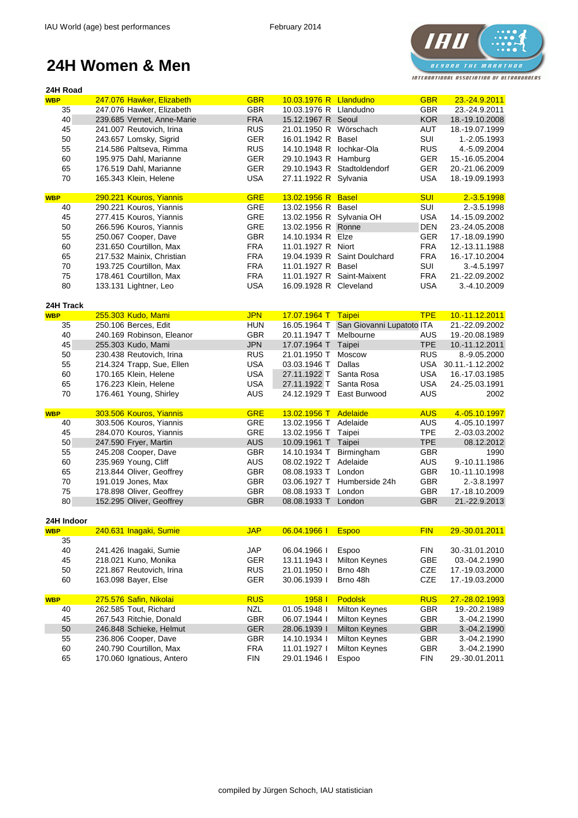# **IAU** *BESONO THE MARATHON* INTERNATIONAL ASSOCIATION OF ULTRARUNDERS

| <b>GBR</b><br><b>WBP</b><br>10.03.1976 R Llandudno<br><b>GBR</b><br>23.-24.9.2011<br>247.076 Hawker, Elizabeth<br><b>GBR</b><br><b>GBR</b><br>35<br>247.076 Hawker, Elizabeth<br>10.03.1976 R Llandudno<br>23.-24.9.2011<br><b>FRA</b><br><b>KOR</b><br>40<br>239.685 Vernet, Anne-Marie<br>15.12.1967 R Seoul<br>18.-19.10.2008<br><b>RUS</b><br>45<br>241.007 Reutovich, Irina<br>21.01.1950 R Wörschach<br><b>AUT</b><br>18.-19.07.1999<br>50<br><b>GER</b><br>SUI<br>243.657 Lomsky, Sigrid<br>16.01.1942 R Basel<br>1.-2.05.1993<br>55<br><b>RUS</b><br><b>RUS</b><br>214.586 Paltseva, Rimma<br>14.10.1948 R<br>lochkar-Ola<br>4.-5.09.2004<br>60<br><b>GER</b><br><b>GER</b><br>15.-16.05.2004<br>195.975 Dahl, Marianne<br>29.10.1943 R Hamburg<br>65<br><b>GER</b><br>29.10.1943 R Stadtoldendorf<br><b>GER</b><br>176.519 Dahl, Marianne<br>20.-21.06.2009<br>70<br><b>USA</b><br><b>USA</b><br>165.343 Klein, Helene<br>27.11.1922 R Sylvania<br>18.-19.09.1993<br><b>GRE</b><br>290.221 Kouros, Yiannis<br><b>SUI</b><br>$2.-3.5.1998$<br>13.02.1956 R Basel<br><b>WBP</b><br>290.221 Kouros, Yiannis<br><b>GRE</b><br>13.02.1956 R Basel<br>SUI<br>40<br>2.-3.5.1998<br>45<br>277.415 Kouros, Yiannis<br><b>GRE</b><br>13.02.1956 R Sylvania OH<br><b>USA</b><br>14.-15.09.2002<br>50<br><b>GRE</b><br><b>DEN</b><br>266.596 Kouros, Yiannis<br>13.02.1956 R Ronne<br>23.-24.05.2008<br>55<br><b>GBR</b><br><b>GER</b><br>250.067 Cooper, Dave<br>14.10.1934 R Elze<br>17.-18.09.1990<br>60<br>231.650 Courtillon, Max<br><b>FRA</b><br>11.01.1927 R Niort<br><b>FRA</b><br>12.-13.11.1988<br>65<br>217.532 Mainix, Christian<br><b>FRA</b><br>19.04.1939 R Saint Doulchard<br><b>FRA</b><br>16.-17.10.2004<br>70<br><b>FRA</b><br>SUI<br>193.725 Courtillon, Max<br>11.01.1927 R Basel<br>3.-4.5.1997<br>75<br><b>FRA</b><br>11.01.1927 R Saint-Maixent<br><b>FRA</b><br>178.461 Courtillon, Max<br>21.-22.09.2002<br>80<br><b>USA</b><br><b>USA</b><br>133.131 Lightner, Leo<br>16.09.1928 R Cleveland<br>3.-4.10.2009<br>24H Track<br>255.303 Kudo, Mami<br><b>JPN</b><br>17.07.1964 T Taipei<br>10.-11.12.2011<br><b>TPE</b><br><b>WBP</b><br>16.05.1964 T San Giovanni Lupatoto ITA<br>250.106 Berces, Edit<br>35<br><b>HUN</b><br>21.-22.09.2002<br>40<br>240.169 Robinson, Eleanor<br><b>GBR</b><br>Melbourne<br>20.11.1947 T<br><b>AUS</b><br>19.-20.08.1989<br>45<br>255.303 Kudo, Mami<br><b>JPN</b><br><b>TPE</b><br>10.-11.12.2011<br>17.07.1964 T<br>Taipei<br>230.438 Reutovich, Irina<br><b>RUS</b><br><b>RUS</b><br>8.-9.05.2000<br>50<br>21.01.1950 T<br>Moscow<br>55<br><b>USA</b><br>Dallas<br><b>USA</b><br>214.324 Trapp, Sue, Ellen<br>03.03.1946 T<br>30.11.-1.12.2002<br>60<br>170.165 Klein, Helene<br><b>USA</b><br><b>USA</b><br>27.11.1922 T<br>Santa Rosa<br>16.-17.03.1985<br>65<br>176.223 Klein, Helene<br><b>USA</b><br>27.11.1922 T<br><b>USA</b><br>Santa Rosa<br>24.-25.03.1991<br>70<br><b>AUS</b><br>24.12.1929 T East Burwood<br><b>AUS</b><br>2002<br>176.461 Young, Shirley<br>303.506 Kouros, Yiannis<br><b>GRE</b><br>13.02.1956 T Adelaide<br><b>AUS</b><br>4.-05.10.1997<br><b>WBP</b><br>303.506 Kouros, Yiannis<br><b>GRE</b><br>13.02.1956 T Adelaide<br>4.-05.10.1997<br><b>AUS</b><br>40<br>45<br>284.070 Kouros, Yiannis<br><b>GRE</b><br><b>TPE</b><br>13.02.1956 T Taipei<br>2.-03.03.2002<br>50<br><b>AUS</b><br>10.09.1961 T Taipei<br><b>TPE</b><br>247.590 Fryer, Martin<br>08.12.2012<br>55<br><b>GBR</b><br>245.208 Cooper, Dave<br>14.10.1934 T<br>Birmingham<br><b>GBR</b><br>1990<br>60<br><b>AUS</b><br><b>AUS</b><br>235.969 Young, Cliff<br>08.02.1922 T<br>Adelaide<br>9.-10.11.1986<br><b>GBR</b><br><b>GBR</b><br>65<br>213.844 Oliver, Geoffrey<br>08.08.1933 T<br>London<br>10.-11.10.1998<br><b>GBR</b><br><b>GBR</b><br>70<br>191.019 Jones, Max<br>Humberside 24h<br>03.06.1927 T<br>2.-3.8.1997<br>75<br>178.898 Oliver, Geoffrey<br><b>GBR</b><br>08.08.1933 T<br><b>GBR</b><br>London<br>17.-18.10.2009<br>80<br>152.295 Oliver, Geoffrey<br><b>GBR</b><br><b>GBR</b><br>08.08.1933 T<br>London<br>21.-22.9.2013<br>24H Indoor<br>240.631 Inagaki, Sumie<br><b>JAP</b><br>06.04.1966 I<br><b>Espoo</b><br>29.-30.01.2011<br><b>FIN</b><br><b>WBP</b><br>35<br>40<br>241.426 Inagaki, Sumie<br><b>JAP</b><br>06.04.1966  <br>Espoo<br><b>FIN</b><br>30.-31.01.2010<br>45<br>218.021 Kuno, Monika<br><b>GBE</b><br><b>GER</b><br>13.11.1943 l<br><b>Milton Keynes</b><br>03.-04.2.1990<br>50<br>221.867 Reutovich, Irina<br><b>RUS</b><br>Brno 48h<br><b>CZE</b><br>21.01.1950  <br>17.-19.03.2000<br>60<br><b>GER</b><br><b>CZE</b><br>163.098 Bayer, Else<br>30.06.1939 l<br>Brno 48h<br>17.-19.03.2000<br><b>Podolsk</b><br>275.576 Safin, Nikolai<br><b>RUS</b><br>1958 l<br><b>RUS</b><br>27.-28.02.1993<br><b>WBP</b><br>01.05.1948 l<br><b>GBR</b><br>262.585 Tout, Richard<br><b>NZL</b><br><b>Milton Keynes</b><br>19.-20.2.1989<br>40<br>267.543 Ritchie, Donald<br><b>GBR</b><br><b>GBR</b><br>3.-04.2.1990<br>45<br>06.07.1944 l<br><b>Milton Keynes</b><br>50<br>246.848 Schieke, Helmut<br><b>GER</b><br><b>Milton Keynes</b><br><b>GBR</b><br>3.-04.2.1990<br>28.06.1939 l<br>55<br><b>GBR</b><br>Milton Keynes<br><b>GBR</b><br>236.806 Cooper, Dave<br>14.10.1934 l<br>3.-04.2.1990<br>60<br>240.790 Courtillon, Max<br><b>FRA</b><br><b>GBR</b><br>11.01.1927 l<br><b>Milton Keynes</b><br>3.-04.2.1990<br>65<br><b>FIN</b><br><b>FIN</b><br>170.060 Ignatious, Antero<br>29.01.1946 l<br>Espoo<br>29.-30.01.2011 | 24H Road |  |  |  |  |
|----------------------------------------------------------------------------------------------------------------------------------------------------------------------------------------------------------------------------------------------------------------------------------------------------------------------------------------------------------------------------------------------------------------------------------------------------------------------------------------------------------------------------------------------------------------------------------------------------------------------------------------------------------------------------------------------------------------------------------------------------------------------------------------------------------------------------------------------------------------------------------------------------------------------------------------------------------------------------------------------------------------------------------------------------------------------------------------------------------------------------------------------------------------------------------------------------------------------------------------------------------------------------------------------------------------------------------------------------------------------------------------------------------------------------------------------------------------------------------------------------------------------------------------------------------------------------------------------------------------------------------------------------------------------------------------------------------------------------------------------------------------------------------------------------------------------------------------------------------------------------------------------------------------------------------------------------------------------------------------------------------------------------------------------------------------------------------------------------------------------------------------------------------------------------------------------------------------------------------------------------------------------------------------------------------------------------------------------------------------------------------------------------------------------------------------------------------------------------------------------------------------------------------------------------------------------------------------------------------------------------------------------------------------------------------------------------------------------------------------------------------------------------------------------------------------------------------------------------------------------------------------------------------------------------------------------------------------------------------------------------------------------------------------------------------------------------------------------------------------------------------------------------------------------------------------------------------------------------------------------------------------------------------------------------------------------------------------------------------------------------------------------------------------------------------------------------------------------------------------------------------------------------------------------------------------------------------------------------------------------------------------------------------------------------------------------------------------------------------------------------------------------------------------------------------------------------------------------------------------------------------------------------------------------------------------------------------------------------------------------------------------------------------------------------------------------------------------------------------------------------------------------------------------------------------------------------------------------------------------------------------------------------------------------------------------------------------------------------------------------------------------------------------------------------------------------------------------------------------------------------------------------------------------------------------------------------------------------------------------------------------------------------------------------------------------------------------------------------------------------------------------------------------------------------------------------------------------------------------------------------------------------------------------------------------------------------------------------------------------------------------------------------------------------------------------------------------------------------------------------------------------------------------------------------------------------------------------------------------------------------------------------------------------------------------------------------------------------------------------------------------------------------------------------------------------------------------------------------------------------------------------------------|----------|--|--|--|--|
|                                                                                                                                                                                                                                                                                                                                                                                                                                                                                                                                                                                                                                                                                                                                                                                                                                                                                                                                                                                                                                                                                                                                                                                                                                                                                                                                                                                                                                                                                                                                                                                                                                                                                                                                                                                                                                                                                                                                                                                                                                                                                                                                                                                                                                                                                                                                                                                                                                                                                                                                                                                                                                                                                                                                                                                                                                                                                                                                                                                                                                                                                                                                                                                                                                                                                                                                                                                                                                                                                                                                                                                                                                                                                                                                                                                                                                                                                                                                                                                                                                                                                                                                                                                                                                                                                                                                                                                                                                                                                                                                                                                                                                                                                                                                                                                                                                                                                                                                                                                                                                                                                                                                                                                                                                                                                                                                                                                                                                                                                                                            |          |  |  |  |  |
|                                                                                                                                                                                                                                                                                                                                                                                                                                                                                                                                                                                                                                                                                                                                                                                                                                                                                                                                                                                                                                                                                                                                                                                                                                                                                                                                                                                                                                                                                                                                                                                                                                                                                                                                                                                                                                                                                                                                                                                                                                                                                                                                                                                                                                                                                                                                                                                                                                                                                                                                                                                                                                                                                                                                                                                                                                                                                                                                                                                                                                                                                                                                                                                                                                                                                                                                                                                                                                                                                                                                                                                                                                                                                                                                                                                                                                                                                                                                                                                                                                                                                                                                                                                                                                                                                                                                                                                                                                                                                                                                                                                                                                                                                                                                                                                                                                                                                                                                                                                                                                                                                                                                                                                                                                                                                                                                                                                                                                                                                                                            |          |  |  |  |  |
|                                                                                                                                                                                                                                                                                                                                                                                                                                                                                                                                                                                                                                                                                                                                                                                                                                                                                                                                                                                                                                                                                                                                                                                                                                                                                                                                                                                                                                                                                                                                                                                                                                                                                                                                                                                                                                                                                                                                                                                                                                                                                                                                                                                                                                                                                                                                                                                                                                                                                                                                                                                                                                                                                                                                                                                                                                                                                                                                                                                                                                                                                                                                                                                                                                                                                                                                                                                                                                                                                                                                                                                                                                                                                                                                                                                                                                                                                                                                                                                                                                                                                                                                                                                                                                                                                                                                                                                                                                                                                                                                                                                                                                                                                                                                                                                                                                                                                                                                                                                                                                                                                                                                                                                                                                                                                                                                                                                                                                                                                                                            |          |  |  |  |  |
|                                                                                                                                                                                                                                                                                                                                                                                                                                                                                                                                                                                                                                                                                                                                                                                                                                                                                                                                                                                                                                                                                                                                                                                                                                                                                                                                                                                                                                                                                                                                                                                                                                                                                                                                                                                                                                                                                                                                                                                                                                                                                                                                                                                                                                                                                                                                                                                                                                                                                                                                                                                                                                                                                                                                                                                                                                                                                                                                                                                                                                                                                                                                                                                                                                                                                                                                                                                                                                                                                                                                                                                                                                                                                                                                                                                                                                                                                                                                                                                                                                                                                                                                                                                                                                                                                                                                                                                                                                                                                                                                                                                                                                                                                                                                                                                                                                                                                                                                                                                                                                                                                                                                                                                                                                                                                                                                                                                                                                                                                                                            |          |  |  |  |  |
|                                                                                                                                                                                                                                                                                                                                                                                                                                                                                                                                                                                                                                                                                                                                                                                                                                                                                                                                                                                                                                                                                                                                                                                                                                                                                                                                                                                                                                                                                                                                                                                                                                                                                                                                                                                                                                                                                                                                                                                                                                                                                                                                                                                                                                                                                                                                                                                                                                                                                                                                                                                                                                                                                                                                                                                                                                                                                                                                                                                                                                                                                                                                                                                                                                                                                                                                                                                                                                                                                                                                                                                                                                                                                                                                                                                                                                                                                                                                                                                                                                                                                                                                                                                                                                                                                                                                                                                                                                                                                                                                                                                                                                                                                                                                                                                                                                                                                                                                                                                                                                                                                                                                                                                                                                                                                                                                                                                                                                                                                                                            |          |  |  |  |  |
|                                                                                                                                                                                                                                                                                                                                                                                                                                                                                                                                                                                                                                                                                                                                                                                                                                                                                                                                                                                                                                                                                                                                                                                                                                                                                                                                                                                                                                                                                                                                                                                                                                                                                                                                                                                                                                                                                                                                                                                                                                                                                                                                                                                                                                                                                                                                                                                                                                                                                                                                                                                                                                                                                                                                                                                                                                                                                                                                                                                                                                                                                                                                                                                                                                                                                                                                                                                                                                                                                                                                                                                                                                                                                                                                                                                                                                                                                                                                                                                                                                                                                                                                                                                                                                                                                                                                                                                                                                                                                                                                                                                                                                                                                                                                                                                                                                                                                                                                                                                                                                                                                                                                                                                                                                                                                                                                                                                                                                                                                                                            |          |  |  |  |  |
|                                                                                                                                                                                                                                                                                                                                                                                                                                                                                                                                                                                                                                                                                                                                                                                                                                                                                                                                                                                                                                                                                                                                                                                                                                                                                                                                                                                                                                                                                                                                                                                                                                                                                                                                                                                                                                                                                                                                                                                                                                                                                                                                                                                                                                                                                                                                                                                                                                                                                                                                                                                                                                                                                                                                                                                                                                                                                                                                                                                                                                                                                                                                                                                                                                                                                                                                                                                                                                                                                                                                                                                                                                                                                                                                                                                                                                                                                                                                                                                                                                                                                                                                                                                                                                                                                                                                                                                                                                                                                                                                                                                                                                                                                                                                                                                                                                                                                                                                                                                                                                                                                                                                                                                                                                                                                                                                                                                                                                                                                                                            |          |  |  |  |  |
|                                                                                                                                                                                                                                                                                                                                                                                                                                                                                                                                                                                                                                                                                                                                                                                                                                                                                                                                                                                                                                                                                                                                                                                                                                                                                                                                                                                                                                                                                                                                                                                                                                                                                                                                                                                                                                                                                                                                                                                                                                                                                                                                                                                                                                                                                                                                                                                                                                                                                                                                                                                                                                                                                                                                                                                                                                                                                                                                                                                                                                                                                                                                                                                                                                                                                                                                                                                                                                                                                                                                                                                                                                                                                                                                                                                                                                                                                                                                                                                                                                                                                                                                                                                                                                                                                                                                                                                                                                                                                                                                                                                                                                                                                                                                                                                                                                                                                                                                                                                                                                                                                                                                                                                                                                                                                                                                                                                                                                                                                                                            |          |  |  |  |  |
|                                                                                                                                                                                                                                                                                                                                                                                                                                                                                                                                                                                                                                                                                                                                                                                                                                                                                                                                                                                                                                                                                                                                                                                                                                                                                                                                                                                                                                                                                                                                                                                                                                                                                                                                                                                                                                                                                                                                                                                                                                                                                                                                                                                                                                                                                                                                                                                                                                                                                                                                                                                                                                                                                                                                                                                                                                                                                                                                                                                                                                                                                                                                                                                                                                                                                                                                                                                                                                                                                                                                                                                                                                                                                                                                                                                                                                                                                                                                                                                                                                                                                                                                                                                                                                                                                                                                                                                                                                                                                                                                                                                                                                                                                                                                                                                                                                                                                                                                                                                                                                                                                                                                                                                                                                                                                                                                                                                                                                                                                                                            |          |  |  |  |  |
|                                                                                                                                                                                                                                                                                                                                                                                                                                                                                                                                                                                                                                                                                                                                                                                                                                                                                                                                                                                                                                                                                                                                                                                                                                                                                                                                                                                                                                                                                                                                                                                                                                                                                                                                                                                                                                                                                                                                                                                                                                                                                                                                                                                                                                                                                                                                                                                                                                                                                                                                                                                                                                                                                                                                                                                                                                                                                                                                                                                                                                                                                                                                                                                                                                                                                                                                                                                                                                                                                                                                                                                                                                                                                                                                                                                                                                                                                                                                                                                                                                                                                                                                                                                                                                                                                                                                                                                                                                                                                                                                                                                                                                                                                                                                                                                                                                                                                                                                                                                                                                                                                                                                                                                                                                                                                                                                                                                                                                                                                                                            |          |  |  |  |  |
|                                                                                                                                                                                                                                                                                                                                                                                                                                                                                                                                                                                                                                                                                                                                                                                                                                                                                                                                                                                                                                                                                                                                                                                                                                                                                                                                                                                                                                                                                                                                                                                                                                                                                                                                                                                                                                                                                                                                                                                                                                                                                                                                                                                                                                                                                                                                                                                                                                                                                                                                                                                                                                                                                                                                                                                                                                                                                                                                                                                                                                                                                                                                                                                                                                                                                                                                                                                                                                                                                                                                                                                                                                                                                                                                                                                                                                                                                                                                                                                                                                                                                                                                                                                                                                                                                                                                                                                                                                                                                                                                                                                                                                                                                                                                                                                                                                                                                                                                                                                                                                                                                                                                                                                                                                                                                                                                                                                                                                                                                                                            |          |  |  |  |  |
|                                                                                                                                                                                                                                                                                                                                                                                                                                                                                                                                                                                                                                                                                                                                                                                                                                                                                                                                                                                                                                                                                                                                                                                                                                                                                                                                                                                                                                                                                                                                                                                                                                                                                                                                                                                                                                                                                                                                                                                                                                                                                                                                                                                                                                                                                                                                                                                                                                                                                                                                                                                                                                                                                                                                                                                                                                                                                                                                                                                                                                                                                                                                                                                                                                                                                                                                                                                                                                                                                                                                                                                                                                                                                                                                                                                                                                                                                                                                                                                                                                                                                                                                                                                                                                                                                                                                                                                                                                                                                                                                                                                                                                                                                                                                                                                                                                                                                                                                                                                                                                                                                                                                                                                                                                                                                                                                                                                                                                                                                                                            |          |  |  |  |  |
|                                                                                                                                                                                                                                                                                                                                                                                                                                                                                                                                                                                                                                                                                                                                                                                                                                                                                                                                                                                                                                                                                                                                                                                                                                                                                                                                                                                                                                                                                                                                                                                                                                                                                                                                                                                                                                                                                                                                                                                                                                                                                                                                                                                                                                                                                                                                                                                                                                                                                                                                                                                                                                                                                                                                                                                                                                                                                                                                                                                                                                                                                                                                                                                                                                                                                                                                                                                                                                                                                                                                                                                                                                                                                                                                                                                                                                                                                                                                                                                                                                                                                                                                                                                                                                                                                                                                                                                                                                                                                                                                                                                                                                                                                                                                                                                                                                                                                                                                                                                                                                                                                                                                                                                                                                                                                                                                                                                                                                                                                                                            |          |  |  |  |  |
|                                                                                                                                                                                                                                                                                                                                                                                                                                                                                                                                                                                                                                                                                                                                                                                                                                                                                                                                                                                                                                                                                                                                                                                                                                                                                                                                                                                                                                                                                                                                                                                                                                                                                                                                                                                                                                                                                                                                                                                                                                                                                                                                                                                                                                                                                                                                                                                                                                                                                                                                                                                                                                                                                                                                                                                                                                                                                                                                                                                                                                                                                                                                                                                                                                                                                                                                                                                                                                                                                                                                                                                                                                                                                                                                                                                                                                                                                                                                                                                                                                                                                                                                                                                                                                                                                                                                                                                                                                                                                                                                                                                                                                                                                                                                                                                                                                                                                                                                                                                                                                                                                                                                                                                                                                                                                                                                                                                                                                                                                                                            |          |  |  |  |  |
|                                                                                                                                                                                                                                                                                                                                                                                                                                                                                                                                                                                                                                                                                                                                                                                                                                                                                                                                                                                                                                                                                                                                                                                                                                                                                                                                                                                                                                                                                                                                                                                                                                                                                                                                                                                                                                                                                                                                                                                                                                                                                                                                                                                                                                                                                                                                                                                                                                                                                                                                                                                                                                                                                                                                                                                                                                                                                                                                                                                                                                                                                                                                                                                                                                                                                                                                                                                                                                                                                                                                                                                                                                                                                                                                                                                                                                                                                                                                                                                                                                                                                                                                                                                                                                                                                                                                                                                                                                                                                                                                                                                                                                                                                                                                                                                                                                                                                                                                                                                                                                                                                                                                                                                                                                                                                                                                                                                                                                                                                                                            |          |  |  |  |  |
|                                                                                                                                                                                                                                                                                                                                                                                                                                                                                                                                                                                                                                                                                                                                                                                                                                                                                                                                                                                                                                                                                                                                                                                                                                                                                                                                                                                                                                                                                                                                                                                                                                                                                                                                                                                                                                                                                                                                                                                                                                                                                                                                                                                                                                                                                                                                                                                                                                                                                                                                                                                                                                                                                                                                                                                                                                                                                                                                                                                                                                                                                                                                                                                                                                                                                                                                                                                                                                                                                                                                                                                                                                                                                                                                                                                                                                                                                                                                                                                                                                                                                                                                                                                                                                                                                                                                                                                                                                                                                                                                                                                                                                                                                                                                                                                                                                                                                                                                                                                                                                                                                                                                                                                                                                                                                                                                                                                                                                                                                                                            |          |  |  |  |  |
|                                                                                                                                                                                                                                                                                                                                                                                                                                                                                                                                                                                                                                                                                                                                                                                                                                                                                                                                                                                                                                                                                                                                                                                                                                                                                                                                                                                                                                                                                                                                                                                                                                                                                                                                                                                                                                                                                                                                                                                                                                                                                                                                                                                                                                                                                                                                                                                                                                                                                                                                                                                                                                                                                                                                                                                                                                                                                                                                                                                                                                                                                                                                                                                                                                                                                                                                                                                                                                                                                                                                                                                                                                                                                                                                                                                                                                                                                                                                                                                                                                                                                                                                                                                                                                                                                                                                                                                                                                                                                                                                                                                                                                                                                                                                                                                                                                                                                                                                                                                                                                                                                                                                                                                                                                                                                                                                                                                                                                                                                                                            |          |  |  |  |  |
|                                                                                                                                                                                                                                                                                                                                                                                                                                                                                                                                                                                                                                                                                                                                                                                                                                                                                                                                                                                                                                                                                                                                                                                                                                                                                                                                                                                                                                                                                                                                                                                                                                                                                                                                                                                                                                                                                                                                                                                                                                                                                                                                                                                                                                                                                                                                                                                                                                                                                                                                                                                                                                                                                                                                                                                                                                                                                                                                                                                                                                                                                                                                                                                                                                                                                                                                                                                                                                                                                                                                                                                                                                                                                                                                                                                                                                                                                                                                                                                                                                                                                                                                                                                                                                                                                                                                                                                                                                                                                                                                                                                                                                                                                                                                                                                                                                                                                                                                                                                                                                                                                                                                                                                                                                                                                                                                                                                                                                                                                                                            |          |  |  |  |  |
|                                                                                                                                                                                                                                                                                                                                                                                                                                                                                                                                                                                                                                                                                                                                                                                                                                                                                                                                                                                                                                                                                                                                                                                                                                                                                                                                                                                                                                                                                                                                                                                                                                                                                                                                                                                                                                                                                                                                                                                                                                                                                                                                                                                                                                                                                                                                                                                                                                                                                                                                                                                                                                                                                                                                                                                                                                                                                                                                                                                                                                                                                                                                                                                                                                                                                                                                                                                                                                                                                                                                                                                                                                                                                                                                                                                                                                                                                                                                                                                                                                                                                                                                                                                                                                                                                                                                                                                                                                                                                                                                                                                                                                                                                                                                                                                                                                                                                                                                                                                                                                                                                                                                                                                                                                                                                                                                                                                                                                                                                                                            |          |  |  |  |  |
|                                                                                                                                                                                                                                                                                                                                                                                                                                                                                                                                                                                                                                                                                                                                                                                                                                                                                                                                                                                                                                                                                                                                                                                                                                                                                                                                                                                                                                                                                                                                                                                                                                                                                                                                                                                                                                                                                                                                                                                                                                                                                                                                                                                                                                                                                                                                                                                                                                                                                                                                                                                                                                                                                                                                                                                                                                                                                                                                                                                                                                                                                                                                                                                                                                                                                                                                                                                                                                                                                                                                                                                                                                                                                                                                                                                                                                                                                                                                                                                                                                                                                                                                                                                                                                                                                                                                                                                                                                                                                                                                                                                                                                                                                                                                                                                                                                                                                                                                                                                                                                                                                                                                                                                                                                                                                                                                                                                                                                                                                                                            |          |  |  |  |  |
|                                                                                                                                                                                                                                                                                                                                                                                                                                                                                                                                                                                                                                                                                                                                                                                                                                                                                                                                                                                                                                                                                                                                                                                                                                                                                                                                                                                                                                                                                                                                                                                                                                                                                                                                                                                                                                                                                                                                                                                                                                                                                                                                                                                                                                                                                                                                                                                                                                                                                                                                                                                                                                                                                                                                                                                                                                                                                                                                                                                                                                                                                                                                                                                                                                                                                                                                                                                                                                                                                                                                                                                                                                                                                                                                                                                                                                                                                                                                                                                                                                                                                                                                                                                                                                                                                                                                                                                                                                                                                                                                                                                                                                                                                                                                                                                                                                                                                                                                                                                                                                                                                                                                                                                                                                                                                                                                                                                                                                                                                                                            |          |  |  |  |  |
|                                                                                                                                                                                                                                                                                                                                                                                                                                                                                                                                                                                                                                                                                                                                                                                                                                                                                                                                                                                                                                                                                                                                                                                                                                                                                                                                                                                                                                                                                                                                                                                                                                                                                                                                                                                                                                                                                                                                                                                                                                                                                                                                                                                                                                                                                                                                                                                                                                                                                                                                                                                                                                                                                                                                                                                                                                                                                                                                                                                                                                                                                                                                                                                                                                                                                                                                                                                                                                                                                                                                                                                                                                                                                                                                                                                                                                                                                                                                                                                                                                                                                                                                                                                                                                                                                                                                                                                                                                                                                                                                                                                                                                                                                                                                                                                                                                                                                                                                                                                                                                                                                                                                                                                                                                                                                                                                                                                                                                                                                                                            |          |  |  |  |  |
|                                                                                                                                                                                                                                                                                                                                                                                                                                                                                                                                                                                                                                                                                                                                                                                                                                                                                                                                                                                                                                                                                                                                                                                                                                                                                                                                                                                                                                                                                                                                                                                                                                                                                                                                                                                                                                                                                                                                                                                                                                                                                                                                                                                                                                                                                                                                                                                                                                                                                                                                                                                                                                                                                                                                                                                                                                                                                                                                                                                                                                                                                                                                                                                                                                                                                                                                                                                                                                                                                                                                                                                                                                                                                                                                                                                                                                                                                                                                                                                                                                                                                                                                                                                                                                                                                                                                                                                                                                                                                                                                                                                                                                                                                                                                                                                                                                                                                                                                                                                                                                                                                                                                                                                                                                                                                                                                                                                                                                                                                                                            |          |  |  |  |  |
|                                                                                                                                                                                                                                                                                                                                                                                                                                                                                                                                                                                                                                                                                                                                                                                                                                                                                                                                                                                                                                                                                                                                                                                                                                                                                                                                                                                                                                                                                                                                                                                                                                                                                                                                                                                                                                                                                                                                                                                                                                                                                                                                                                                                                                                                                                                                                                                                                                                                                                                                                                                                                                                                                                                                                                                                                                                                                                                                                                                                                                                                                                                                                                                                                                                                                                                                                                                                                                                                                                                                                                                                                                                                                                                                                                                                                                                                                                                                                                                                                                                                                                                                                                                                                                                                                                                                                                                                                                                                                                                                                                                                                                                                                                                                                                                                                                                                                                                                                                                                                                                                                                                                                                                                                                                                                                                                                                                                                                                                                                                            |          |  |  |  |  |
|                                                                                                                                                                                                                                                                                                                                                                                                                                                                                                                                                                                                                                                                                                                                                                                                                                                                                                                                                                                                                                                                                                                                                                                                                                                                                                                                                                                                                                                                                                                                                                                                                                                                                                                                                                                                                                                                                                                                                                                                                                                                                                                                                                                                                                                                                                                                                                                                                                                                                                                                                                                                                                                                                                                                                                                                                                                                                                                                                                                                                                                                                                                                                                                                                                                                                                                                                                                                                                                                                                                                                                                                                                                                                                                                                                                                                                                                                                                                                                                                                                                                                                                                                                                                                                                                                                                                                                                                                                                                                                                                                                                                                                                                                                                                                                                                                                                                                                                                                                                                                                                                                                                                                                                                                                                                                                                                                                                                                                                                                                                            |          |  |  |  |  |
|                                                                                                                                                                                                                                                                                                                                                                                                                                                                                                                                                                                                                                                                                                                                                                                                                                                                                                                                                                                                                                                                                                                                                                                                                                                                                                                                                                                                                                                                                                                                                                                                                                                                                                                                                                                                                                                                                                                                                                                                                                                                                                                                                                                                                                                                                                                                                                                                                                                                                                                                                                                                                                                                                                                                                                                                                                                                                                                                                                                                                                                                                                                                                                                                                                                                                                                                                                                                                                                                                                                                                                                                                                                                                                                                                                                                                                                                                                                                                                                                                                                                                                                                                                                                                                                                                                                                                                                                                                                                                                                                                                                                                                                                                                                                                                                                                                                                                                                                                                                                                                                                                                                                                                                                                                                                                                                                                                                                                                                                                                                            |          |  |  |  |  |
|                                                                                                                                                                                                                                                                                                                                                                                                                                                                                                                                                                                                                                                                                                                                                                                                                                                                                                                                                                                                                                                                                                                                                                                                                                                                                                                                                                                                                                                                                                                                                                                                                                                                                                                                                                                                                                                                                                                                                                                                                                                                                                                                                                                                                                                                                                                                                                                                                                                                                                                                                                                                                                                                                                                                                                                                                                                                                                                                                                                                                                                                                                                                                                                                                                                                                                                                                                                                                                                                                                                                                                                                                                                                                                                                                                                                                                                                                                                                                                                                                                                                                                                                                                                                                                                                                                                                                                                                                                                                                                                                                                                                                                                                                                                                                                                                                                                                                                                                                                                                                                                                                                                                                                                                                                                                                                                                                                                                                                                                                                                            |          |  |  |  |  |
|                                                                                                                                                                                                                                                                                                                                                                                                                                                                                                                                                                                                                                                                                                                                                                                                                                                                                                                                                                                                                                                                                                                                                                                                                                                                                                                                                                                                                                                                                                                                                                                                                                                                                                                                                                                                                                                                                                                                                                                                                                                                                                                                                                                                                                                                                                                                                                                                                                                                                                                                                                                                                                                                                                                                                                                                                                                                                                                                                                                                                                                                                                                                                                                                                                                                                                                                                                                                                                                                                                                                                                                                                                                                                                                                                                                                                                                                                                                                                                                                                                                                                                                                                                                                                                                                                                                                                                                                                                                                                                                                                                                                                                                                                                                                                                                                                                                                                                                                                                                                                                                                                                                                                                                                                                                                                                                                                                                                                                                                                                                            |          |  |  |  |  |
|                                                                                                                                                                                                                                                                                                                                                                                                                                                                                                                                                                                                                                                                                                                                                                                                                                                                                                                                                                                                                                                                                                                                                                                                                                                                                                                                                                                                                                                                                                                                                                                                                                                                                                                                                                                                                                                                                                                                                                                                                                                                                                                                                                                                                                                                                                                                                                                                                                                                                                                                                                                                                                                                                                                                                                                                                                                                                                                                                                                                                                                                                                                                                                                                                                                                                                                                                                                                                                                                                                                                                                                                                                                                                                                                                                                                                                                                                                                                                                                                                                                                                                                                                                                                                                                                                                                                                                                                                                                                                                                                                                                                                                                                                                                                                                                                                                                                                                                                                                                                                                                                                                                                                                                                                                                                                                                                                                                                                                                                                                                            |          |  |  |  |  |
|                                                                                                                                                                                                                                                                                                                                                                                                                                                                                                                                                                                                                                                                                                                                                                                                                                                                                                                                                                                                                                                                                                                                                                                                                                                                                                                                                                                                                                                                                                                                                                                                                                                                                                                                                                                                                                                                                                                                                                                                                                                                                                                                                                                                                                                                                                                                                                                                                                                                                                                                                                                                                                                                                                                                                                                                                                                                                                                                                                                                                                                                                                                                                                                                                                                                                                                                                                                                                                                                                                                                                                                                                                                                                                                                                                                                                                                                                                                                                                                                                                                                                                                                                                                                                                                                                                                                                                                                                                                                                                                                                                                                                                                                                                                                                                                                                                                                                                                                                                                                                                                                                                                                                                                                                                                                                                                                                                                                                                                                                                                            |          |  |  |  |  |
|                                                                                                                                                                                                                                                                                                                                                                                                                                                                                                                                                                                                                                                                                                                                                                                                                                                                                                                                                                                                                                                                                                                                                                                                                                                                                                                                                                                                                                                                                                                                                                                                                                                                                                                                                                                                                                                                                                                                                                                                                                                                                                                                                                                                                                                                                                                                                                                                                                                                                                                                                                                                                                                                                                                                                                                                                                                                                                                                                                                                                                                                                                                                                                                                                                                                                                                                                                                                                                                                                                                                                                                                                                                                                                                                                                                                                                                                                                                                                                                                                                                                                                                                                                                                                                                                                                                                                                                                                                                                                                                                                                                                                                                                                                                                                                                                                                                                                                                                                                                                                                                                                                                                                                                                                                                                                                                                                                                                                                                                                                                            |          |  |  |  |  |
|                                                                                                                                                                                                                                                                                                                                                                                                                                                                                                                                                                                                                                                                                                                                                                                                                                                                                                                                                                                                                                                                                                                                                                                                                                                                                                                                                                                                                                                                                                                                                                                                                                                                                                                                                                                                                                                                                                                                                                                                                                                                                                                                                                                                                                                                                                                                                                                                                                                                                                                                                                                                                                                                                                                                                                                                                                                                                                                                                                                                                                                                                                                                                                                                                                                                                                                                                                                                                                                                                                                                                                                                                                                                                                                                                                                                                                                                                                                                                                                                                                                                                                                                                                                                                                                                                                                                                                                                                                                                                                                                                                                                                                                                                                                                                                                                                                                                                                                                                                                                                                                                                                                                                                                                                                                                                                                                                                                                                                                                                                                            |          |  |  |  |  |
|                                                                                                                                                                                                                                                                                                                                                                                                                                                                                                                                                                                                                                                                                                                                                                                                                                                                                                                                                                                                                                                                                                                                                                                                                                                                                                                                                                                                                                                                                                                                                                                                                                                                                                                                                                                                                                                                                                                                                                                                                                                                                                                                                                                                                                                                                                                                                                                                                                                                                                                                                                                                                                                                                                                                                                                                                                                                                                                                                                                                                                                                                                                                                                                                                                                                                                                                                                                                                                                                                                                                                                                                                                                                                                                                                                                                                                                                                                                                                                                                                                                                                                                                                                                                                                                                                                                                                                                                                                                                                                                                                                                                                                                                                                                                                                                                                                                                                                                                                                                                                                                                                                                                                                                                                                                                                                                                                                                                                                                                                                                            |          |  |  |  |  |
|                                                                                                                                                                                                                                                                                                                                                                                                                                                                                                                                                                                                                                                                                                                                                                                                                                                                                                                                                                                                                                                                                                                                                                                                                                                                                                                                                                                                                                                                                                                                                                                                                                                                                                                                                                                                                                                                                                                                                                                                                                                                                                                                                                                                                                                                                                                                                                                                                                                                                                                                                                                                                                                                                                                                                                                                                                                                                                                                                                                                                                                                                                                                                                                                                                                                                                                                                                                                                                                                                                                                                                                                                                                                                                                                                                                                                                                                                                                                                                                                                                                                                                                                                                                                                                                                                                                                                                                                                                                                                                                                                                                                                                                                                                                                                                                                                                                                                                                                                                                                                                                                                                                                                                                                                                                                                                                                                                                                                                                                                                                            |          |  |  |  |  |
|                                                                                                                                                                                                                                                                                                                                                                                                                                                                                                                                                                                                                                                                                                                                                                                                                                                                                                                                                                                                                                                                                                                                                                                                                                                                                                                                                                                                                                                                                                                                                                                                                                                                                                                                                                                                                                                                                                                                                                                                                                                                                                                                                                                                                                                                                                                                                                                                                                                                                                                                                                                                                                                                                                                                                                                                                                                                                                                                                                                                                                                                                                                                                                                                                                                                                                                                                                                                                                                                                                                                                                                                                                                                                                                                                                                                                                                                                                                                                                                                                                                                                                                                                                                                                                                                                                                                                                                                                                                                                                                                                                                                                                                                                                                                                                                                                                                                                                                                                                                                                                                                                                                                                                                                                                                                                                                                                                                                                                                                                                                            |          |  |  |  |  |
|                                                                                                                                                                                                                                                                                                                                                                                                                                                                                                                                                                                                                                                                                                                                                                                                                                                                                                                                                                                                                                                                                                                                                                                                                                                                                                                                                                                                                                                                                                                                                                                                                                                                                                                                                                                                                                                                                                                                                                                                                                                                                                                                                                                                                                                                                                                                                                                                                                                                                                                                                                                                                                                                                                                                                                                                                                                                                                                                                                                                                                                                                                                                                                                                                                                                                                                                                                                                                                                                                                                                                                                                                                                                                                                                                                                                                                                                                                                                                                                                                                                                                                                                                                                                                                                                                                                                                                                                                                                                                                                                                                                                                                                                                                                                                                                                                                                                                                                                                                                                                                                                                                                                                                                                                                                                                                                                                                                                                                                                                                                            |          |  |  |  |  |
|                                                                                                                                                                                                                                                                                                                                                                                                                                                                                                                                                                                                                                                                                                                                                                                                                                                                                                                                                                                                                                                                                                                                                                                                                                                                                                                                                                                                                                                                                                                                                                                                                                                                                                                                                                                                                                                                                                                                                                                                                                                                                                                                                                                                                                                                                                                                                                                                                                                                                                                                                                                                                                                                                                                                                                                                                                                                                                                                                                                                                                                                                                                                                                                                                                                                                                                                                                                                                                                                                                                                                                                                                                                                                                                                                                                                                                                                                                                                                                                                                                                                                                                                                                                                                                                                                                                                                                                                                                                                                                                                                                                                                                                                                                                                                                                                                                                                                                                                                                                                                                                                                                                                                                                                                                                                                                                                                                                                                                                                                                                            |          |  |  |  |  |
|                                                                                                                                                                                                                                                                                                                                                                                                                                                                                                                                                                                                                                                                                                                                                                                                                                                                                                                                                                                                                                                                                                                                                                                                                                                                                                                                                                                                                                                                                                                                                                                                                                                                                                                                                                                                                                                                                                                                                                                                                                                                                                                                                                                                                                                                                                                                                                                                                                                                                                                                                                                                                                                                                                                                                                                                                                                                                                                                                                                                                                                                                                                                                                                                                                                                                                                                                                                                                                                                                                                                                                                                                                                                                                                                                                                                                                                                                                                                                                                                                                                                                                                                                                                                                                                                                                                                                                                                                                                                                                                                                                                                                                                                                                                                                                                                                                                                                                                                                                                                                                                                                                                                                                                                                                                                                                                                                                                                                                                                                                                            |          |  |  |  |  |
|                                                                                                                                                                                                                                                                                                                                                                                                                                                                                                                                                                                                                                                                                                                                                                                                                                                                                                                                                                                                                                                                                                                                                                                                                                                                                                                                                                                                                                                                                                                                                                                                                                                                                                                                                                                                                                                                                                                                                                                                                                                                                                                                                                                                                                                                                                                                                                                                                                                                                                                                                                                                                                                                                                                                                                                                                                                                                                                                                                                                                                                                                                                                                                                                                                                                                                                                                                                                                                                                                                                                                                                                                                                                                                                                                                                                                                                                                                                                                                                                                                                                                                                                                                                                                                                                                                                                                                                                                                                                                                                                                                                                                                                                                                                                                                                                                                                                                                                                                                                                                                                                                                                                                                                                                                                                                                                                                                                                                                                                                                                            |          |  |  |  |  |
|                                                                                                                                                                                                                                                                                                                                                                                                                                                                                                                                                                                                                                                                                                                                                                                                                                                                                                                                                                                                                                                                                                                                                                                                                                                                                                                                                                                                                                                                                                                                                                                                                                                                                                                                                                                                                                                                                                                                                                                                                                                                                                                                                                                                                                                                                                                                                                                                                                                                                                                                                                                                                                                                                                                                                                                                                                                                                                                                                                                                                                                                                                                                                                                                                                                                                                                                                                                                                                                                                                                                                                                                                                                                                                                                                                                                                                                                                                                                                                                                                                                                                                                                                                                                                                                                                                                                                                                                                                                                                                                                                                                                                                                                                                                                                                                                                                                                                                                                                                                                                                                                                                                                                                                                                                                                                                                                                                                                                                                                                                                            |          |  |  |  |  |
|                                                                                                                                                                                                                                                                                                                                                                                                                                                                                                                                                                                                                                                                                                                                                                                                                                                                                                                                                                                                                                                                                                                                                                                                                                                                                                                                                                                                                                                                                                                                                                                                                                                                                                                                                                                                                                                                                                                                                                                                                                                                                                                                                                                                                                                                                                                                                                                                                                                                                                                                                                                                                                                                                                                                                                                                                                                                                                                                                                                                                                                                                                                                                                                                                                                                                                                                                                                                                                                                                                                                                                                                                                                                                                                                                                                                                                                                                                                                                                                                                                                                                                                                                                                                                                                                                                                                                                                                                                                                                                                                                                                                                                                                                                                                                                                                                                                                                                                                                                                                                                                                                                                                                                                                                                                                                                                                                                                                                                                                                                                            |          |  |  |  |  |
|                                                                                                                                                                                                                                                                                                                                                                                                                                                                                                                                                                                                                                                                                                                                                                                                                                                                                                                                                                                                                                                                                                                                                                                                                                                                                                                                                                                                                                                                                                                                                                                                                                                                                                                                                                                                                                                                                                                                                                                                                                                                                                                                                                                                                                                                                                                                                                                                                                                                                                                                                                                                                                                                                                                                                                                                                                                                                                                                                                                                                                                                                                                                                                                                                                                                                                                                                                                                                                                                                                                                                                                                                                                                                                                                                                                                                                                                                                                                                                                                                                                                                                                                                                                                                                                                                                                                                                                                                                                                                                                                                                                                                                                                                                                                                                                                                                                                                                                                                                                                                                                                                                                                                                                                                                                                                                                                                                                                                                                                                                                            |          |  |  |  |  |
|                                                                                                                                                                                                                                                                                                                                                                                                                                                                                                                                                                                                                                                                                                                                                                                                                                                                                                                                                                                                                                                                                                                                                                                                                                                                                                                                                                                                                                                                                                                                                                                                                                                                                                                                                                                                                                                                                                                                                                                                                                                                                                                                                                                                                                                                                                                                                                                                                                                                                                                                                                                                                                                                                                                                                                                                                                                                                                                                                                                                                                                                                                                                                                                                                                                                                                                                                                                                                                                                                                                                                                                                                                                                                                                                                                                                                                                                                                                                                                                                                                                                                                                                                                                                                                                                                                                                                                                                                                                                                                                                                                                                                                                                                                                                                                                                                                                                                                                                                                                                                                                                                                                                                                                                                                                                                                                                                                                                                                                                                                                            |          |  |  |  |  |
|                                                                                                                                                                                                                                                                                                                                                                                                                                                                                                                                                                                                                                                                                                                                                                                                                                                                                                                                                                                                                                                                                                                                                                                                                                                                                                                                                                                                                                                                                                                                                                                                                                                                                                                                                                                                                                                                                                                                                                                                                                                                                                                                                                                                                                                                                                                                                                                                                                                                                                                                                                                                                                                                                                                                                                                                                                                                                                                                                                                                                                                                                                                                                                                                                                                                                                                                                                                                                                                                                                                                                                                                                                                                                                                                                                                                                                                                                                                                                                                                                                                                                                                                                                                                                                                                                                                                                                                                                                                                                                                                                                                                                                                                                                                                                                                                                                                                                                                                                                                                                                                                                                                                                                                                                                                                                                                                                                                                                                                                                                                            |          |  |  |  |  |
|                                                                                                                                                                                                                                                                                                                                                                                                                                                                                                                                                                                                                                                                                                                                                                                                                                                                                                                                                                                                                                                                                                                                                                                                                                                                                                                                                                                                                                                                                                                                                                                                                                                                                                                                                                                                                                                                                                                                                                                                                                                                                                                                                                                                                                                                                                                                                                                                                                                                                                                                                                                                                                                                                                                                                                                                                                                                                                                                                                                                                                                                                                                                                                                                                                                                                                                                                                                                                                                                                                                                                                                                                                                                                                                                                                                                                                                                                                                                                                                                                                                                                                                                                                                                                                                                                                                                                                                                                                                                                                                                                                                                                                                                                                                                                                                                                                                                                                                                                                                                                                                                                                                                                                                                                                                                                                                                                                                                                                                                                                                            |          |  |  |  |  |
|                                                                                                                                                                                                                                                                                                                                                                                                                                                                                                                                                                                                                                                                                                                                                                                                                                                                                                                                                                                                                                                                                                                                                                                                                                                                                                                                                                                                                                                                                                                                                                                                                                                                                                                                                                                                                                                                                                                                                                                                                                                                                                                                                                                                                                                                                                                                                                                                                                                                                                                                                                                                                                                                                                                                                                                                                                                                                                                                                                                                                                                                                                                                                                                                                                                                                                                                                                                                                                                                                                                                                                                                                                                                                                                                                                                                                                                                                                                                                                                                                                                                                                                                                                                                                                                                                                                                                                                                                                                                                                                                                                                                                                                                                                                                                                                                                                                                                                                                                                                                                                                                                                                                                                                                                                                                                                                                                                                                                                                                                                                            |          |  |  |  |  |
|                                                                                                                                                                                                                                                                                                                                                                                                                                                                                                                                                                                                                                                                                                                                                                                                                                                                                                                                                                                                                                                                                                                                                                                                                                                                                                                                                                                                                                                                                                                                                                                                                                                                                                                                                                                                                                                                                                                                                                                                                                                                                                                                                                                                                                                                                                                                                                                                                                                                                                                                                                                                                                                                                                                                                                                                                                                                                                                                                                                                                                                                                                                                                                                                                                                                                                                                                                                                                                                                                                                                                                                                                                                                                                                                                                                                                                                                                                                                                                                                                                                                                                                                                                                                                                                                                                                                                                                                                                                                                                                                                                                                                                                                                                                                                                                                                                                                                                                                                                                                                                                                                                                                                                                                                                                                                                                                                                                                                                                                                                                            |          |  |  |  |  |
|                                                                                                                                                                                                                                                                                                                                                                                                                                                                                                                                                                                                                                                                                                                                                                                                                                                                                                                                                                                                                                                                                                                                                                                                                                                                                                                                                                                                                                                                                                                                                                                                                                                                                                                                                                                                                                                                                                                                                                                                                                                                                                                                                                                                                                                                                                                                                                                                                                                                                                                                                                                                                                                                                                                                                                                                                                                                                                                                                                                                                                                                                                                                                                                                                                                                                                                                                                                                                                                                                                                                                                                                                                                                                                                                                                                                                                                                                                                                                                                                                                                                                                                                                                                                                                                                                                                                                                                                                                                                                                                                                                                                                                                                                                                                                                                                                                                                                                                                                                                                                                                                                                                                                                                                                                                                                                                                                                                                                                                                                                                            |          |  |  |  |  |
|                                                                                                                                                                                                                                                                                                                                                                                                                                                                                                                                                                                                                                                                                                                                                                                                                                                                                                                                                                                                                                                                                                                                                                                                                                                                                                                                                                                                                                                                                                                                                                                                                                                                                                                                                                                                                                                                                                                                                                                                                                                                                                                                                                                                                                                                                                                                                                                                                                                                                                                                                                                                                                                                                                                                                                                                                                                                                                                                                                                                                                                                                                                                                                                                                                                                                                                                                                                                                                                                                                                                                                                                                                                                                                                                                                                                                                                                                                                                                                                                                                                                                                                                                                                                                                                                                                                                                                                                                                                                                                                                                                                                                                                                                                                                                                                                                                                                                                                                                                                                                                                                                                                                                                                                                                                                                                                                                                                                                                                                                                                            |          |  |  |  |  |
|                                                                                                                                                                                                                                                                                                                                                                                                                                                                                                                                                                                                                                                                                                                                                                                                                                                                                                                                                                                                                                                                                                                                                                                                                                                                                                                                                                                                                                                                                                                                                                                                                                                                                                                                                                                                                                                                                                                                                                                                                                                                                                                                                                                                                                                                                                                                                                                                                                                                                                                                                                                                                                                                                                                                                                                                                                                                                                                                                                                                                                                                                                                                                                                                                                                                                                                                                                                                                                                                                                                                                                                                                                                                                                                                                                                                                                                                                                                                                                                                                                                                                                                                                                                                                                                                                                                                                                                                                                                                                                                                                                                                                                                                                                                                                                                                                                                                                                                                                                                                                                                                                                                                                                                                                                                                                                                                                                                                                                                                                                                            |          |  |  |  |  |
|                                                                                                                                                                                                                                                                                                                                                                                                                                                                                                                                                                                                                                                                                                                                                                                                                                                                                                                                                                                                                                                                                                                                                                                                                                                                                                                                                                                                                                                                                                                                                                                                                                                                                                                                                                                                                                                                                                                                                                                                                                                                                                                                                                                                                                                                                                                                                                                                                                                                                                                                                                                                                                                                                                                                                                                                                                                                                                                                                                                                                                                                                                                                                                                                                                                                                                                                                                                                                                                                                                                                                                                                                                                                                                                                                                                                                                                                                                                                                                                                                                                                                                                                                                                                                                                                                                                                                                                                                                                                                                                                                                                                                                                                                                                                                                                                                                                                                                                                                                                                                                                                                                                                                                                                                                                                                                                                                                                                                                                                                                                            |          |  |  |  |  |
|                                                                                                                                                                                                                                                                                                                                                                                                                                                                                                                                                                                                                                                                                                                                                                                                                                                                                                                                                                                                                                                                                                                                                                                                                                                                                                                                                                                                                                                                                                                                                                                                                                                                                                                                                                                                                                                                                                                                                                                                                                                                                                                                                                                                                                                                                                                                                                                                                                                                                                                                                                                                                                                                                                                                                                                                                                                                                                                                                                                                                                                                                                                                                                                                                                                                                                                                                                                                                                                                                                                                                                                                                                                                                                                                                                                                                                                                                                                                                                                                                                                                                                                                                                                                                                                                                                                                                                                                                                                                                                                                                                                                                                                                                                                                                                                                                                                                                                                                                                                                                                                                                                                                                                                                                                                                                                                                                                                                                                                                                                                            |          |  |  |  |  |
|                                                                                                                                                                                                                                                                                                                                                                                                                                                                                                                                                                                                                                                                                                                                                                                                                                                                                                                                                                                                                                                                                                                                                                                                                                                                                                                                                                                                                                                                                                                                                                                                                                                                                                                                                                                                                                                                                                                                                                                                                                                                                                                                                                                                                                                                                                                                                                                                                                                                                                                                                                                                                                                                                                                                                                                                                                                                                                                                                                                                                                                                                                                                                                                                                                                                                                                                                                                                                                                                                                                                                                                                                                                                                                                                                                                                                                                                                                                                                                                                                                                                                                                                                                                                                                                                                                                                                                                                                                                                                                                                                                                                                                                                                                                                                                                                                                                                                                                                                                                                                                                                                                                                                                                                                                                                                                                                                                                                                                                                                                                            |          |  |  |  |  |
|                                                                                                                                                                                                                                                                                                                                                                                                                                                                                                                                                                                                                                                                                                                                                                                                                                                                                                                                                                                                                                                                                                                                                                                                                                                                                                                                                                                                                                                                                                                                                                                                                                                                                                                                                                                                                                                                                                                                                                                                                                                                                                                                                                                                                                                                                                                                                                                                                                                                                                                                                                                                                                                                                                                                                                                                                                                                                                                                                                                                                                                                                                                                                                                                                                                                                                                                                                                                                                                                                                                                                                                                                                                                                                                                                                                                                                                                                                                                                                                                                                                                                                                                                                                                                                                                                                                                                                                                                                                                                                                                                                                                                                                                                                                                                                                                                                                                                                                                                                                                                                                                                                                                                                                                                                                                                                                                                                                                                                                                                                                            |          |  |  |  |  |
|                                                                                                                                                                                                                                                                                                                                                                                                                                                                                                                                                                                                                                                                                                                                                                                                                                                                                                                                                                                                                                                                                                                                                                                                                                                                                                                                                                                                                                                                                                                                                                                                                                                                                                                                                                                                                                                                                                                                                                                                                                                                                                                                                                                                                                                                                                                                                                                                                                                                                                                                                                                                                                                                                                                                                                                                                                                                                                                                                                                                                                                                                                                                                                                                                                                                                                                                                                                                                                                                                                                                                                                                                                                                                                                                                                                                                                                                                                                                                                                                                                                                                                                                                                                                                                                                                                                                                                                                                                                                                                                                                                                                                                                                                                                                                                                                                                                                                                                                                                                                                                                                                                                                                                                                                                                                                                                                                                                                                                                                                                                            |          |  |  |  |  |
|                                                                                                                                                                                                                                                                                                                                                                                                                                                                                                                                                                                                                                                                                                                                                                                                                                                                                                                                                                                                                                                                                                                                                                                                                                                                                                                                                                                                                                                                                                                                                                                                                                                                                                                                                                                                                                                                                                                                                                                                                                                                                                                                                                                                                                                                                                                                                                                                                                                                                                                                                                                                                                                                                                                                                                                                                                                                                                                                                                                                                                                                                                                                                                                                                                                                                                                                                                                                                                                                                                                                                                                                                                                                                                                                                                                                                                                                                                                                                                                                                                                                                                                                                                                                                                                                                                                                                                                                                                                                                                                                                                                                                                                                                                                                                                                                                                                                                                                                                                                                                                                                                                                                                                                                                                                                                                                                                                                                                                                                                                                            |          |  |  |  |  |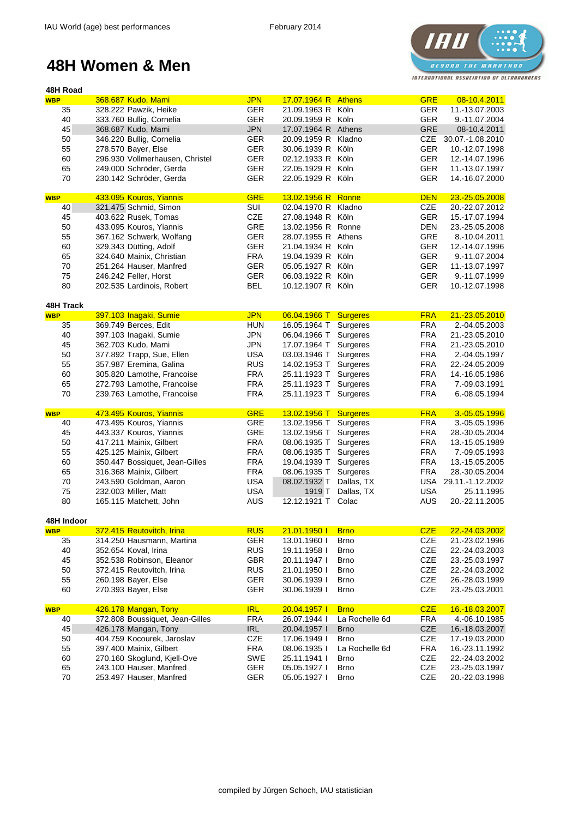

| <b>WBP</b>               | 368.687 Kudo, Mami                                 | <b>JPN</b>               | 17.07.1964 R Athens          |                            | <b>GRE</b>               | 08-10.4.2011                     |
|--------------------------|----------------------------------------------------|--------------------------|------------------------------|----------------------------|--------------------------|----------------------------------|
| 35                       | 328.222 Pawzik, Heike                              | <b>GER</b>               | 21.09.1963 R Köln            |                            | <b>GER</b>               | 11.-13.07.2003                   |
| 40                       | 333.760 Bullig, Cornelia                           | <b>GER</b>               | 20.09.1959 R Köln            |                            | <b>GER</b>               | 9.-11.07.2004                    |
| 45                       | 368.687 Kudo, Mami                                 | <b>JPN</b>               | 17.07.1964 R Athens          |                            | <b>GRE</b>               | 08-10.4.2011                     |
| 50                       | 346.220 Bullig, Cornelia                           | <b>GER</b>               | 20.09.1959 R                 | Kladno                     | <b>CZE</b>               | 30.07.-1.08.2010                 |
| 55                       | 278.570 Bayer, Else                                | <b>GER</b>               | 30.06.1939 R                 | Köln                       | <b>GER</b>               | 10.-12.07.1998                   |
| 60                       | 296.930 Vollmerhausen, Christel                    | <b>GER</b>               | 02.12.1933 R                 | Köln                       | <b>GER</b>               | 12.-14.07.1996                   |
|                          |                                                    |                          |                              |                            |                          |                                  |
| 65                       | 249.000 Schröder, Gerda                            | <b>GER</b>               | 22.05.1929 R                 | Köln                       | <b>GER</b>               | 11.-13.07.1997                   |
| 70                       | 230.142 Schröder, Gerda                            | <b>GER</b>               | 22.05.1929 R Köln            |                            | <b>GER</b>               | 14.-16.07.2000                   |
| <b>WBP</b>               | 433.095 Kouros, Yiannis                            | <b>GRE</b>               | 13.02.1956 R Ronne           |                            | <b>DEN</b>               | 23.-25.05.2008                   |
| 40                       | 321.475 Schmid, Simon                              | SUI                      | 02.04.1970 R                 | Kladno                     | <b>CZE</b>               | 20.-22.07.2012                   |
| 45                       | 403.622 Rusek, Tomas                               | <b>CZE</b>               | 27.08.1948 R                 | Köln                       | <b>GER</b>               | 15.-17.07.1994                   |
| 50                       | 433.095 Kouros, Yiannis                            | <b>GRE</b>               | 13.02.1956 R Ronne           |                            | <b>DEN</b>               | 23.-25.05.2008                   |
| 55                       | 367.162 Schwerk, Wolfang                           | <b>GER</b>               | 28.07.1955 R Athens          |                            | <b>GRE</b>               | 8.-10.04.2011                    |
| 60                       | 329.343 Dütting, Adolf                             | <b>GER</b>               | 21.04.1934 R                 | Köln                       | <b>GER</b>               | 12.-14.07.1996                   |
| 65                       |                                                    | <b>FRA</b>               | 19.04.1939 R                 | Köln                       | <b>GER</b>               |                                  |
|                          | 324.640 Mainix, Christian                          |                          |                              |                            |                          | 9.-11.07.2004                    |
| 70                       | 251.264 Hauser, Manfred                            | <b>GER</b>               | 05.05.1927 R                 | Köln                       | <b>GER</b>               | 11.-13.07.1997                   |
| 75                       | 246.242 Feller, Horst                              | <b>GER</b>               | 06.03.1922 R Köln            |                            | <b>GER</b>               | 9.-11.07.1999                    |
| 80                       | 202.535 Lardinois, Robert                          | <b>BEL</b>               | 10.12.1907 R Köln            |                            | <b>GER</b>               | 10.-12.07.1998                   |
| <b>48H Track</b>         |                                                    |                          |                              |                            |                          |                                  |
| <b>WBP</b>               | 397.103 Inagaki, Sumie                             | <b>JPN</b>               | 06.04.1966 T Surgeres        |                            | <b>FRA</b>               | 21.-23.05.2010                   |
| 35                       | 369.749 Berces, Edit                               | <b>HUN</b>               | 16.05.1964 T Surgeres        |                            | <b>FRA</b>               | 2.-04.05.2003                    |
| 40                       | 397.103 Inagaki, Sumie                             | <b>JPN</b>               | 06.04.1966 T                 | Surgeres                   | <b>FRA</b>               | 21.-23.05.2010                   |
| 45                       | 362.703 Kudo, Mami                                 | <b>JPN</b>               | 17.07.1964 T                 | <b>Surgeres</b>            | <b>FRA</b>               | 21.-23.05.2010                   |
| 50                       | 377.892 Trapp, Sue, Ellen                          | <b>USA</b>               | 03.03.1946 T                 | Surgeres                   | <b>FRA</b>               | 2.-04.05.1997                    |
| 55                       |                                                    | <b>RUS</b>               | 14.02.1953 T                 |                            | <b>FRA</b>               | 22.-24.05.2009                   |
|                          | 357.987 Eremina, Galina                            |                          |                              | Surgeres                   |                          |                                  |
| 60                       | 305.820 Lamothe, Francoise                         | <b>FRA</b>               | 25.11.1923 T                 | Surgeres                   | <b>FRA</b>               | 14.-16.05.1986                   |
| 65                       | 272.793 Lamothe, Francoise                         | <b>FRA</b>               | 25.11.1923 T                 | Surgeres                   | <b>FRA</b>               | 7.-09.03.1991                    |
| 70                       | 239.763 Lamothe, Francoise                         | <b>FRA</b>               | 25.11.1923 T                 | Surgeres                   | <b>FRA</b>               | 6.-08.05.1994                    |
| <b>WBP</b>               | 473.495 Kouros, Yiannis                            | <b>GRE</b>               | 13.02.1956 T                 | <b>Surgeres</b>            | <b>FRA</b>               | 3.-05.05.1996                    |
|                          | 473.495 Kouros, Yiannis                            | <b>GRE</b>               | 13.02.1956 T Surgeres        |                            | <b>FRA</b>               | 3.-05.05.1996                    |
|                          |                                                    |                          |                              |                            |                          |                                  |
| 40                       |                                                    |                          |                              |                            |                          |                                  |
| 45                       | 443.337 Kouros, Yiannis                            | <b>GRE</b>               | 13.02.1956 T                 | Surgeres                   | <b>FRA</b>               | 28.-30.05.2004                   |
| 50                       | 417.211 Mainix, Gilbert                            | <b>FRA</b>               | 08.06.1935 T Surgeres        |                            | <b>FRA</b>               | 13.-15.05.1989                   |
| 55                       | 425.125 Mainix, Gilbert                            | <b>FRA</b>               | 08.06.1935 T Surgeres        |                            | <b>FRA</b>               | 7.-09.05.1993                    |
| 60                       | 350.447 Bossiquet, Jean-Gilles                     | <b>FRA</b>               | 19.04.1939 T Surgeres        |                            | <b>FRA</b>               | 13.-15.05.2005                   |
| 65                       | 316.368 Mainix, Gilbert                            | <b>FRA</b>               | 08.06.1935 T Surgeres        |                            | <b>FRA</b>               | 28.-30.05.2004                   |
| 70                       | 243.590 Goldman, Aaron                             | <b>USA</b>               | 08.02.1932 T Dallas, TX      |                            | <b>USA</b>               | 29.11.-1.12.2002                 |
| 75                       | 232.003 Miller, Matt                               | <b>USA</b>               |                              | 1919 T Dallas, TX          | <b>USA</b>               | 25.11.1995                       |
| 80                       | 165.115 Matchett, John                             | <b>AUS</b>               | 12.12.1921 T Colac           |                            | <b>AUS</b>               | 20.-22.11.2005                   |
|                          |                                                    |                          |                              |                            |                          |                                  |
| 48H Indoor<br><b>WBP</b> | 372.415 Reutovitch, Irina                          | <b>RUS</b>               | 21.01.1950 l                 | <b>Brno</b>                | <b>CZE</b>               | 22.-24.03.2002                   |
| 35                       | 314.250 Hausmann, Martina                          | <b>GER</b>               | 13.01.1960 l                 | <b>Brno</b>                | <b>CZE</b>               | 21.-23.02.1996                   |
|                          |                                                    |                          |                              |                            |                          |                                  |
| 40                       | 352.654 Koval, Irina                               | <b>RUS</b>               | 19.11.1958 l                 | <b>Brno</b>                | <b>CZE</b>               | 22.-24.03.2003                   |
| 45                       | 352.538 Robinson, Eleanor                          | <b>GBR</b>               | 20.11.1947 l                 | <b>Brno</b>                | <b>CZE</b>               | 23.-25.03.1997                   |
| 50                       | 372.415 Reutovitch, Irina                          | <b>RUS</b>               | 21.01.1950 l                 | <b>Brno</b>                | <b>CZE</b>               | 22.-24.03.2002                   |
| 55                       | 260.198 Bayer, Else                                | <b>GER</b>               | 30.06.1939 l                 | <b>Brno</b>                | <b>CZE</b>               | 26.-28.03.1999                   |
| 60                       | 270.393 Bayer, Else                                | <b>GER</b>               | 30.06.1939 l                 | <b>Brno</b>                | <b>CZE</b>               | 23.-25.03.2001                   |
| <b>WBP</b>               | 426.178 Mangan, Tony                               | <b>IRL</b>               | 20.04.1957                   | <b>Brno</b>                | <b>CZE</b>               | 16.-18.03.2007                   |
| 40                       | 372.808 Boussiquet, Jean-Gilles                    | <b>FRA</b>               | 26.07.1944 l                 | La Rochelle 6d             | <b>FRA</b>               | 4.-06.10.1985                    |
| 45                       | 426.178 Mangan, Tony                               | <b>IRL</b>               | 20.04.1957 l                 | <b>Brno</b>                | <b>CZE</b>               | 16.-18.03.2007                   |
|                          | 404.759 Kocourek, Jaroslav                         | <b>CZE</b>               | 17.06.1949 l                 | <b>Brno</b>                | <b>CZE</b>               | 17.-19.03.2000                   |
| 50                       |                                                    |                          |                              |                            |                          |                                  |
| 55                       | 397.400 Mainix, Gilbert                            | <b>FRA</b>               | 08.06.1935                   | La Rochelle 6d             | <b>FRA</b>               | 16.-23.11.1992                   |
| 60                       | 270.160 Skoglund, Kjell-Ove                        | <b>SWE</b>               | 25.11.1941 l                 | <b>Brno</b>                | <b>CZE</b>               | 22.-24.03.2002                   |
| 65<br>70                 | 243.100 Hauser, Manfred<br>253.497 Hauser, Manfred | <b>GER</b><br><b>GER</b> | 05.05.1927 l<br>05.05.1927 l | <b>Brno</b><br><b>Brno</b> | <b>CZE</b><br><b>CZE</b> | 23.-25.03.1997<br>20.-22.03.1998 |